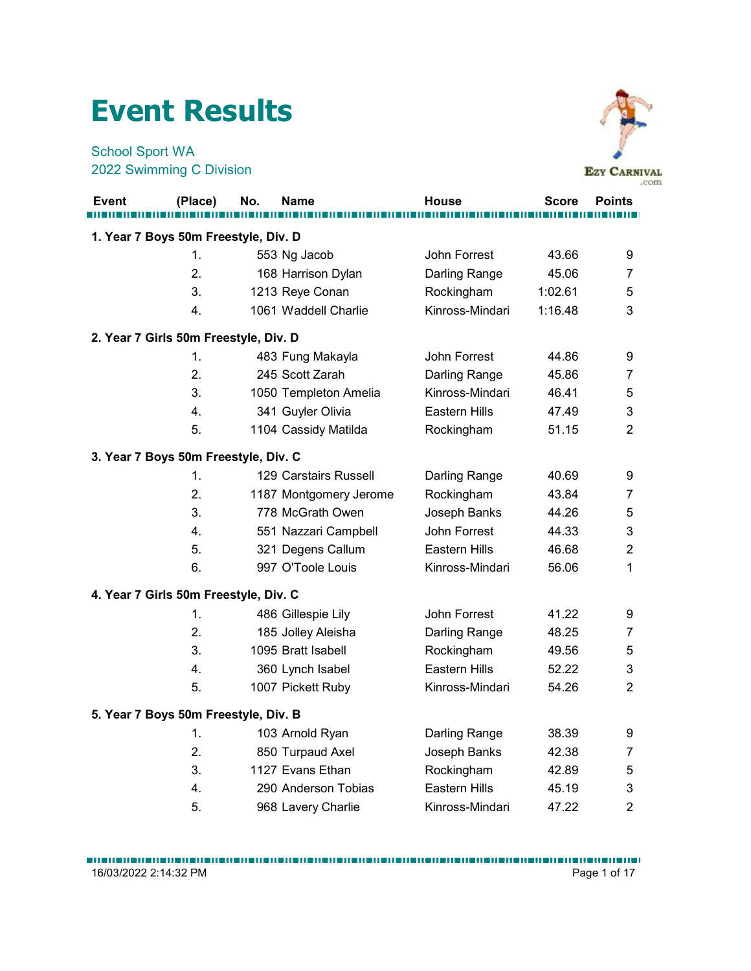## Event Results



|                                                    | <b>Event Results</b> |     |                        |                 |              |                             |
|----------------------------------------------------|----------------------|-----|------------------------|-----------------|--------------|-----------------------------|
| <b>School Sport WA</b><br>2022 Swimming C Division |                      |     |                        |                 |              | <b>EZY CARNIVAL</b><br>.com |
| Event                                              | (Place)              | No. | <b>Name</b>            | <b>House</b>    | <b>Score</b> | <b>Points</b>               |
| 1. Year 7 Boys 50m Freestyle, Div. D               |                      |     |                        |                 |              |                             |
|                                                    | 1.                   |     | 553 Ng Jacob           | John Forrest    | 43.66        | 9                           |
|                                                    | 2.                   |     | 168 Harrison Dylan     | Darling Range   | 45.06        | 7                           |
|                                                    | 3.                   |     | 1213 Reye Conan        | Rockingham      | 1:02.61      | 5                           |
|                                                    | 4.                   |     | 1061 Waddell Charlie   | Kinross-Mindari | 1:16.48      | 3                           |
| 2. Year 7 Girls 50m Freestyle, Div. D              |                      |     |                        |                 |              |                             |
|                                                    | 1.                   |     | 483 Fung Makayla       | John Forrest    | 44.86        | 9                           |
|                                                    | 2.                   |     | 245 Scott Zarah        | Darling Range   | 45.86        | 7                           |
|                                                    | 3.                   |     | 1050 Templeton Amelia  | Kinross-Mindari | 46.41        | 5                           |
|                                                    | 4.                   |     | 341 Guyler Olivia      | Eastern Hills   | 47.49        | 3                           |
|                                                    | 5.                   |     | 1104 Cassidy Matilda   | Rockingham      | 51.15        | $\overline{2}$              |
| 3. Year 7 Boys 50m Freestyle, Div. C               |                      |     |                        |                 |              |                             |
|                                                    | $\mathbf{1}$ .       |     | 129 Carstairs Russell  | Darling Range   | 40.69        | 9                           |
|                                                    | 2.                   |     | 1187 Montgomery Jerome | Rockingham      | 43.84        | $\overline{7}$              |
|                                                    | 3.                   |     | 778 McGrath Owen       | Joseph Banks    | 44.26        | $\mathbf 5$                 |
|                                                    | 4.                   |     | 551 Nazzari Campbell   | John Forrest    | 44.33        | $\mathfrak{B}$              |
|                                                    | 5.                   |     | 321 Degens Callum      | Eastern Hills   | 46.68        | $\overline{c}$              |
|                                                    | 6.                   |     | 997 O'Toole Louis      | Kinross-Mindari | 56.06        | 1                           |
| 4. Year 7 Girls 50m Freestyle, Div. C              |                      |     |                        |                 |              |                             |
|                                                    | 1.                   |     | 486 Gillespie Lily     | John Forrest    | 41.22        | 9                           |
|                                                    | 2.                   |     | 185 Jolley Aleisha     | Darling Range   | 48.25        | $\overline{7}$              |
|                                                    | 3.                   |     | 1095 Bratt Isabell     | Rockingham      | 49.56        | $\mathbf 5$                 |
|                                                    | 4.                   |     | 360 Lynch Isabel       | Eastern Hills   | 52.22        | 3                           |
|                                                    | 5.                   |     | 1007 Pickett Ruby      | Kinross-Mindari | 54.26        | $\overline{a}$              |
| 5. Year 7 Boys 50m Freestyle, Div. B               |                      |     |                        |                 |              |                             |
|                                                    | 1.                   |     | 103 Arnold Ryan        | Darling Range   | 38.39        | 9                           |
|                                                    | 2.                   |     | 850 Turpaud Axel       | Joseph Banks    | 42.38        | $\overline{7}$              |
|                                                    | 3.                   |     | 1127 Evans Ethan       | Rockingham      | 42.89        | $\sqrt{5}$                  |
|                                                    | 4.                   |     | 290 Anderson Tobias    | Eastern Hills   | 45.19        | 3                           |
|                                                    | 5.                   |     | 968 Lavery Charlie     | Kinross-Mindari | 47.22        | $\overline{2}$              |
|                                                    |                      |     |                        |                 |              |                             |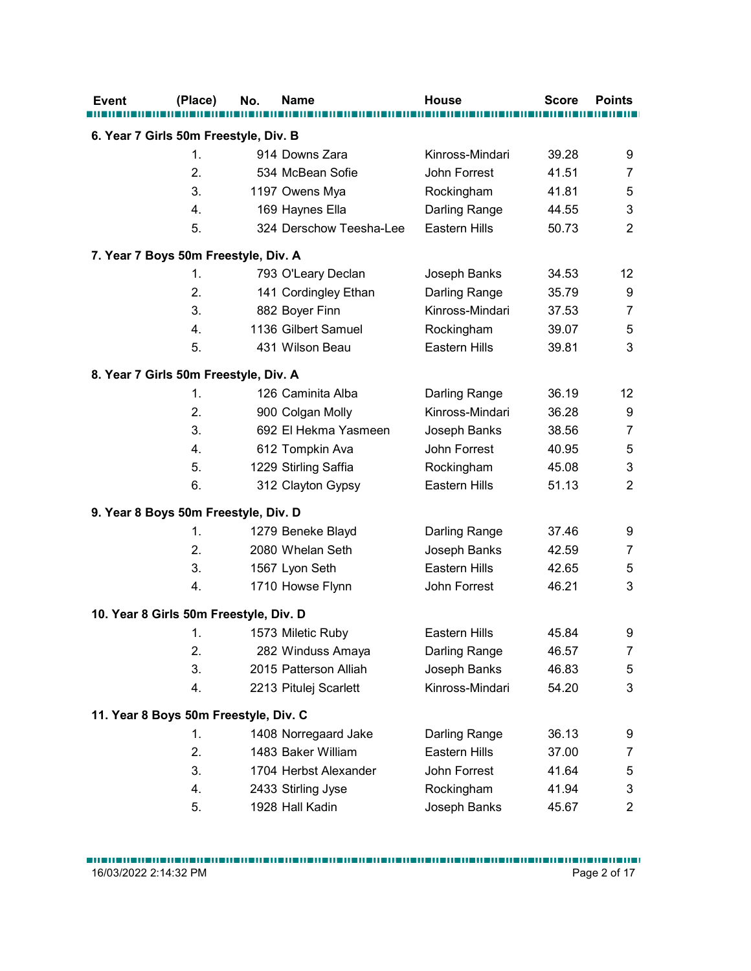|                                        | (Place)        | No. | <b>Name</b>                                | <b>House</b>                   | <b>Score</b>   | <b>Points</b>             |
|----------------------------------------|----------------|-----|--------------------------------------------|--------------------------------|----------------|---------------------------|
|                                        |                |     |                                            |                                |                |                           |
| 6. Year 7 Girls 50m Freestyle, Div. B  |                |     |                                            |                                |                |                           |
|                                        | $\mathbf{1}$ . |     | 914 Downs Zara                             | Kinross-Mindari                | 39.28          | 9                         |
|                                        | 2.             |     | 534 McBean Sofie                           | John Forrest                   | 41.51          | $\overline{7}$            |
|                                        | 3.             |     | 1197 Owens Mya                             | Rockingham                     | 41.81          | 5                         |
|                                        | 4.<br>5.       |     | 169 Haynes Ella<br>324 Derschow Teesha-Lee | Darling Range<br>Eastern Hills | 44.55<br>50.73 | 3<br>$\overline{2}$       |
|                                        |                |     |                                            |                                |                |                           |
| 7. Year 7 Boys 50m Freestyle, Div. A   |                |     |                                            |                                |                |                           |
|                                        | 1.             |     | 793 O'Leary Declan                         | Joseph Banks                   | 34.53          | 12                        |
|                                        | 2.             |     | 141 Cordingley Ethan                       | Darling Range                  | 35.79          | 9                         |
|                                        | 3.             |     | 882 Boyer Finn                             | Kinross-Mindari                | 37.53          | $\overline{7}$            |
|                                        | 4.             |     | 1136 Gilbert Samuel                        | Rockingham                     | 39.07          | 5                         |
|                                        | 5.             |     | 431 Wilson Beau                            | Eastern Hills                  | 39.81          | 3                         |
| 8. Year 7 Girls 50m Freestyle, Div. A  |                |     |                                            |                                |                |                           |
|                                        | 1.             |     | 126 Caminita Alba                          | Darling Range                  | 36.19          | 12                        |
|                                        | 2.             |     | 900 Colgan Molly                           | Kinross-Mindari                | 36.28          | 9                         |
|                                        | 3.             |     | 692 El Hekma Yasmeen                       | Joseph Banks                   | 38.56          | $\overline{7}$            |
|                                        | 4.             |     | 612 Tompkin Ava                            | John Forrest                   | 40.95          | $\mathbf 5$               |
|                                        | 5.             |     | 1229 Stirling Saffia                       | Rockingham                     | 45.08          | $\sqrt{3}$                |
|                                        | 6.             |     | 312 Clayton Gypsy                          | Eastern Hills                  | 51.13          | $\overline{c}$            |
|                                        |                |     |                                            |                                |                |                           |
| 9. Year 8 Boys 50m Freestyle, Div. D   |                |     |                                            |                                |                |                           |
|                                        | 1.             |     | 1279 Beneke Blayd                          | Darling Range                  | 37.46          | 9                         |
|                                        | 2.             |     | 2080 Whelan Seth                           | Joseph Banks                   | 42.59          | $\overline{7}$            |
|                                        | 3.             |     | 1567 Lyon Seth                             | Eastern Hills                  | 42.65          | 5                         |
|                                        | 4.             |     | 1710 Howse Flynn                           | John Forrest                   | 46.21          | 3                         |
| 10. Year 8 Girls 50m Freestyle, Div. D |                |     |                                            |                                |                |                           |
|                                        | 1.             |     | 1573 Miletic Ruby                          | Eastern Hills                  | 45.84          | 9                         |
|                                        | 2.             |     | 282 Winduss Amaya                          | Darling Range                  | 46.57          | $\overline{7}$            |
|                                        | 3.             |     | 2015 Patterson Alliah                      | Joseph Banks                   | 46.83          | $\sqrt{5}$                |
|                                        | 4.             |     | 2213 Pitulej Scarlett                      | Kinross-Mindari                | 54.20          | $\ensuremath{\mathsf{3}}$ |
|                                        |                |     |                                            |                                |                |                           |
| 11. Year 8 Boys 50m Freestyle, Div. C  |                |     |                                            |                                |                |                           |
|                                        | 1.             |     | 1408 Norregaard Jake                       | Darling Range                  | 36.13          | 9                         |
|                                        | 2.             |     | 1483 Baker William                         | Eastern Hills                  | 37.00          | $\boldsymbol{7}$          |
|                                        | 3.             |     | 1704 Herbst Alexander                      | John Forrest                   | 41.64          | 5                         |
|                                        | 4.             |     | 2433 Stirling Jyse                         | Rockingham                     | 41.94          | 3                         |
|                                        | 5.             |     | 1928 Hall Kadin                            | Joseph Banks                   | 45.67          | $\overline{2}$            |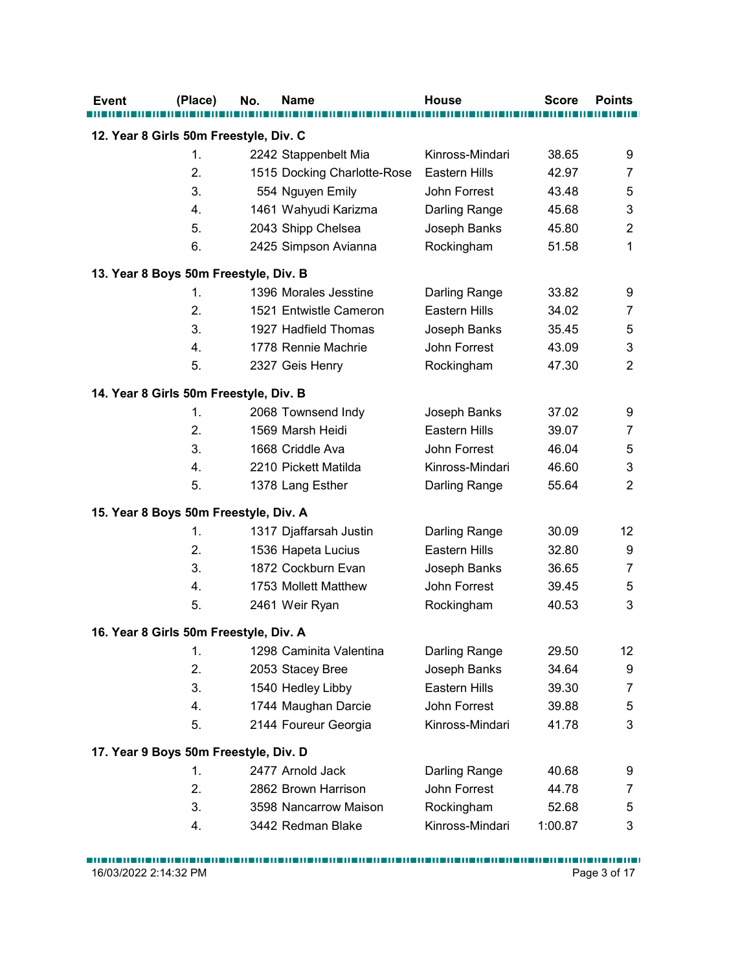| 1.<br>2242 Stappenbelt Mia<br>2.<br>1515 Docking Charlotte-Rose<br>3.<br>554 Nguyen Emily<br>1461 Wahyudi Karizma<br>4.<br>5.<br>2043 Shipp Chelsea<br>6.<br>2425 Simpson Avianna<br>13. Year 8 Boys 50m Freestyle, Div. B<br>1396 Morales Jesstine<br>1.<br>2.<br>1521 Entwistle Cameron<br>3.<br>1927 Hadfield Thomas<br>4.<br>1778 Rennie Machrie<br>5.<br>2327 Geis Henry<br>14. Year 8 Girls 50m Freestyle, Div. B<br>2068 Townsend Indy<br>1.<br>2.<br>1569 Marsh Heidi<br>3.<br>1668 Criddle Ava<br>4.<br>2210 Pickett Matilda<br>5.<br>1378 Lang Esther | Kinross-Mindari<br><b>Eastern Hills</b><br>John Forrest<br>Darling Range<br>Joseph Banks<br>Rockingham<br>Darling Range<br>Eastern Hills<br>Joseph Banks<br>John Forrest<br>Rockingham<br>Joseph Banks | 38.65<br>42.97<br>43.48<br>45.68<br>45.80<br>51.58<br>33.82<br>34.02<br>35.45<br>43.09<br>47.30 | 9<br>$\overline{7}$<br>5<br>3<br>$\overline{2}$<br>$\mathbf 1$<br>9<br>$\overline{7}$<br>5<br>$\ensuremath{\mathsf{3}}$<br>$\overline{2}$ |
|-----------------------------------------------------------------------------------------------------------------------------------------------------------------------------------------------------------------------------------------------------------------------------------------------------------------------------------------------------------------------------------------------------------------------------------------------------------------------------------------------------------------------------------------------------------------|--------------------------------------------------------------------------------------------------------------------------------------------------------------------------------------------------------|-------------------------------------------------------------------------------------------------|-------------------------------------------------------------------------------------------------------------------------------------------|
| 12. Year 8 Girls 50m Freestyle, Div. C                                                                                                                                                                                                                                                                                                                                                                                                                                                                                                                          |                                                                                                                                                                                                        |                                                                                                 |                                                                                                                                           |
|                                                                                                                                                                                                                                                                                                                                                                                                                                                                                                                                                                 |                                                                                                                                                                                                        |                                                                                                 |                                                                                                                                           |
|                                                                                                                                                                                                                                                                                                                                                                                                                                                                                                                                                                 |                                                                                                                                                                                                        |                                                                                                 |                                                                                                                                           |
|                                                                                                                                                                                                                                                                                                                                                                                                                                                                                                                                                                 |                                                                                                                                                                                                        |                                                                                                 |                                                                                                                                           |
|                                                                                                                                                                                                                                                                                                                                                                                                                                                                                                                                                                 |                                                                                                                                                                                                        |                                                                                                 |                                                                                                                                           |
|                                                                                                                                                                                                                                                                                                                                                                                                                                                                                                                                                                 |                                                                                                                                                                                                        |                                                                                                 |                                                                                                                                           |
|                                                                                                                                                                                                                                                                                                                                                                                                                                                                                                                                                                 |                                                                                                                                                                                                        |                                                                                                 |                                                                                                                                           |
|                                                                                                                                                                                                                                                                                                                                                                                                                                                                                                                                                                 |                                                                                                                                                                                                        |                                                                                                 |                                                                                                                                           |
|                                                                                                                                                                                                                                                                                                                                                                                                                                                                                                                                                                 |                                                                                                                                                                                                        |                                                                                                 |                                                                                                                                           |
|                                                                                                                                                                                                                                                                                                                                                                                                                                                                                                                                                                 |                                                                                                                                                                                                        |                                                                                                 |                                                                                                                                           |
|                                                                                                                                                                                                                                                                                                                                                                                                                                                                                                                                                                 |                                                                                                                                                                                                        |                                                                                                 |                                                                                                                                           |
|                                                                                                                                                                                                                                                                                                                                                                                                                                                                                                                                                                 |                                                                                                                                                                                                        |                                                                                                 |                                                                                                                                           |
|                                                                                                                                                                                                                                                                                                                                                                                                                                                                                                                                                                 |                                                                                                                                                                                                        |                                                                                                 |                                                                                                                                           |
|                                                                                                                                                                                                                                                                                                                                                                                                                                                                                                                                                                 |                                                                                                                                                                                                        |                                                                                                 |                                                                                                                                           |
|                                                                                                                                                                                                                                                                                                                                                                                                                                                                                                                                                                 |                                                                                                                                                                                                        |                                                                                                 |                                                                                                                                           |
|                                                                                                                                                                                                                                                                                                                                                                                                                                                                                                                                                                 |                                                                                                                                                                                                        | 37.02                                                                                           | 9                                                                                                                                         |
|                                                                                                                                                                                                                                                                                                                                                                                                                                                                                                                                                                 | Eastern Hills                                                                                                                                                                                          | 39.07                                                                                           | $\overline{7}$                                                                                                                            |
|                                                                                                                                                                                                                                                                                                                                                                                                                                                                                                                                                                 | John Forrest                                                                                                                                                                                           | 46.04                                                                                           | $\,$ 5 $\,$                                                                                                                               |
|                                                                                                                                                                                                                                                                                                                                                                                                                                                                                                                                                                 | Kinross-Mindari                                                                                                                                                                                        | 46.60                                                                                           | $\mathfrak{B}$                                                                                                                            |
|                                                                                                                                                                                                                                                                                                                                                                                                                                                                                                                                                                 | Darling Range                                                                                                                                                                                          | 55.64                                                                                           | $\overline{2}$                                                                                                                            |
|                                                                                                                                                                                                                                                                                                                                                                                                                                                                                                                                                                 |                                                                                                                                                                                                        |                                                                                                 |                                                                                                                                           |
| 15. Year 8 Boys 50m Freestyle, Div. A                                                                                                                                                                                                                                                                                                                                                                                                                                                                                                                           |                                                                                                                                                                                                        |                                                                                                 |                                                                                                                                           |
| 1317 Djaffarsah Justin<br>1.                                                                                                                                                                                                                                                                                                                                                                                                                                                                                                                                    | Darling Range                                                                                                                                                                                          | 30.09                                                                                           | 12                                                                                                                                        |
| 2.<br>1536 Hapeta Lucius                                                                                                                                                                                                                                                                                                                                                                                                                                                                                                                                        | Eastern Hills                                                                                                                                                                                          | 32.80                                                                                           | 9                                                                                                                                         |
| 3.<br>1872 Cockburn Evan                                                                                                                                                                                                                                                                                                                                                                                                                                                                                                                                        | Joseph Banks                                                                                                                                                                                           | 36.65                                                                                           | $\overline{7}$                                                                                                                            |
| 1753 Mollett Matthew<br>4.                                                                                                                                                                                                                                                                                                                                                                                                                                                                                                                                      | John Forrest                                                                                                                                                                                           | 39.45                                                                                           | 5                                                                                                                                         |
| 5.<br>2461 Weir Ryan                                                                                                                                                                                                                                                                                                                                                                                                                                                                                                                                            | Rockingham                                                                                                                                                                                             | 40.53                                                                                           | $\ensuremath{\mathsf{3}}$                                                                                                                 |
| 16. Year 8 Girls 50m Freestyle, Div. A                                                                                                                                                                                                                                                                                                                                                                                                                                                                                                                          |                                                                                                                                                                                                        |                                                                                                 |                                                                                                                                           |
| 1298 Caminita Valentina<br>$\mathbf{1}$ .                                                                                                                                                                                                                                                                                                                                                                                                                                                                                                                       | Darling Range                                                                                                                                                                                          | 29.50                                                                                           | 12                                                                                                                                        |
| 2.<br>2053 Stacey Bree                                                                                                                                                                                                                                                                                                                                                                                                                                                                                                                                          | Joseph Banks                                                                                                                                                                                           | 34.64                                                                                           | 9                                                                                                                                         |
| 3.<br>1540 Hedley Libby                                                                                                                                                                                                                                                                                                                                                                                                                                                                                                                                         | Eastern Hills                                                                                                                                                                                          | 39.30                                                                                           | $\overline{7}$                                                                                                                            |
| 1744 Maughan Darcie<br>4.                                                                                                                                                                                                                                                                                                                                                                                                                                                                                                                                       | John Forrest                                                                                                                                                                                           | 39.88                                                                                           | 5                                                                                                                                         |
| 5.<br>2144 Foureur Georgia                                                                                                                                                                                                                                                                                                                                                                                                                                                                                                                                      | Kinross-Mindari                                                                                                                                                                                        | 41.78                                                                                           | $\mathfrak{S}$                                                                                                                            |
|                                                                                                                                                                                                                                                                                                                                                                                                                                                                                                                                                                 |                                                                                                                                                                                                        |                                                                                                 |                                                                                                                                           |
| 17. Year 9 Boys 50m Freestyle, Div. D                                                                                                                                                                                                                                                                                                                                                                                                                                                                                                                           |                                                                                                                                                                                                        |                                                                                                 |                                                                                                                                           |
| 2477 Arnold Jack<br>1.                                                                                                                                                                                                                                                                                                                                                                                                                                                                                                                                          | Darling Range                                                                                                                                                                                          | 40.68                                                                                           | 9                                                                                                                                         |
| 2.<br>2862 Brown Harrison                                                                                                                                                                                                                                                                                                                                                                                                                                                                                                                                       | John Forrest                                                                                                                                                                                           | 44.78                                                                                           | $\overline{7}$                                                                                                                            |
| 3.<br>3598 Nancarrow Maison                                                                                                                                                                                                                                                                                                                                                                                                                                                                                                                                     | Rockingham                                                                                                                                                                                             | 52.68                                                                                           | 5                                                                                                                                         |
| 4.<br>3442 Redman Blake                                                                                                                                                                                                                                                                                                                                                                                                                                                                                                                                         | Kinross-Mindari                                                                                                                                                                                        | 1:00.87                                                                                         | 3                                                                                                                                         |
|                                                                                                                                                                                                                                                                                                                                                                                                                                                                                                                                                                 |                                                                                                                                                                                                        |                                                                                                 |                                                                                                                                           |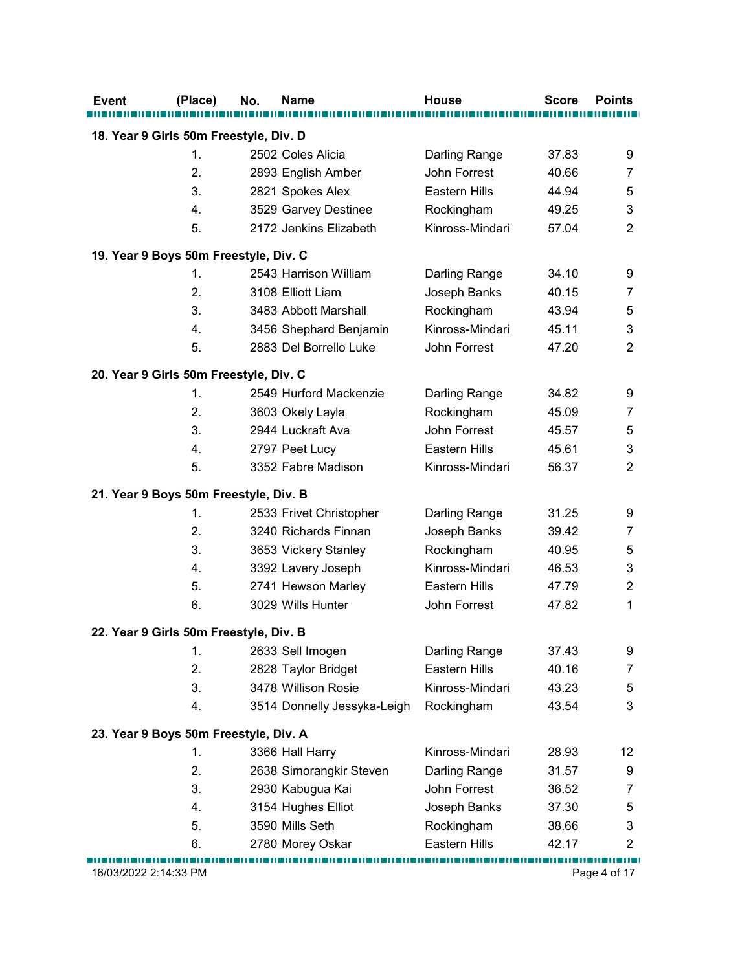| Event | (Place)               | <b>Name</b><br>No.                                             | <b>House</b>                  | <b>Score</b> | <b>Points</b>             |
|-------|-----------------------|----------------------------------------------------------------|-------------------------------|--------------|---------------------------|
|       |                       | 18. Year 9 Girls 50m Freestyle, Div. D                         |                               |              |                           |
|       | $\mathbf{1}$ .        | 2502 Coles Alicia                                              | Darling Range                 | 37.83        | 9                         |
|       | 2.                    | 2893 English Amber                                             | John Forrest                  | 40.66        | $\overline{7}$            |
|       | 3.                    | 2821 Spokes Alex                                               | <b>Eastern Hills</b>          | 44.94        | $\mathbf 5$               |
|       | 4.                    | 3529 Garvey Destinee                                           | Rockingham                    | 49.25        | 3                         |
|       | 5.                    | 2172 Jenkins Elizabeth                                         | Kinross-Mindari               | 57.04        | $\overline{2}$            |
|       |                       |                                                                |                               |              |                           |
|       | 1.                    | 19. Year 9 Boys 50m Freestyle, Div. C<br>2543 Harrison William |                               | 34.10        | 9                         |
|       | 2.                    | 3108 Elliott Liam                                              | Darling Range<br>Joseph Banks | 40.15        | 7                         |
|       | 3.                    | 3483 Abbott Marshall                                           |                               | 43.94        | 5                         |
|       | 4.                    | 3456 Shephard Benjamin                                         | Rockingham<br>Kinross-Mindari | 45.11        | 3                         |
|       | 5.                    | 2883 Del Borrello Luke                                         | John Forrest                  | 47.20        | $\overline{2}$            |
|       |                       |                                                                |                               |              |                           |
|       |                       | 20. Year 9 Girls 50m Freestyle, Div. C                         |                               |              |                           |
|       | 1.                    | 2549 Hurford Mackenzie                                         | Darling Range                 | 34.82        | 9                         |
|       | 2.                    | 3603 Okely Layla                                               | Rockingham                    | 45.09        | 7                         |
|       | 3.                    | 2944 Luckraft Ava                                              | John Forrest                  | 45.57        | $\mathbf 5$               |
|       | 4.                    | 2797 Peet Lucy                                                 | Eastern Hills                 | 45.61        | $\ensuremath{\mathsf{3}}$ |
|       | 5.                    | 3352 Fabre Madison                                             | Kinross-Mindari               | 56.37        | $\overline{2}$            |
|       |                       | 21. Year 9 Boys 50m Freestyle, Div. B                          |                               |              |                           |
|       | 1.                    | 2533 Frivet Christopher                                        | Darling Range                 | 31.25        | 9                         |
|       | 2.                    | 3240 Richards Finnan                                           | Joseph Banks                  | 39.42        | $\overline{7}$            |
|       | 3.                    | 3653 Vickery Stanley                                           | Rockingham                    | 40.95        | $\mathbf 5$               |
|       | 4.                    | 3392 Lavery Joseph                                             | Kinross-Mindari               | 46.53        | $\ensuremath{\mathsf{3}}$ |
|       | 5.                    | 2741 Hewson Marley                                             | Eastern Hills                 | 47.79        | $\overline{c}$            |
|       | 6.                    | 3029 Wills Hunter                                              | John Forrest                  | 47.82        | $\mathbf{1}$              |
|       |                       |                                                                |                               |              |                           |
|       |                       | 22. Year 9 Girls 50m Freestyle, Div. B                         |                               |              |                           |
|       | 1.                    | 2633 Sell Imogen                                               | Darling Range                 | 37.43        | 9                         |
|       | 2.                    | 2828 Taylor Bridget                                            | Eastern Hills                 | 40.16        | $\overline{7}$            |
|       | 3.                    | 3478 Willison Rosie                                            | Kinross-Mindari               | 43.23        | $\mathbf 5$               |
|       | 4.                    | 3514 Donnelly Jessyka-Leigh                                    | Rockingham                    | 43.54        | $\mathfrak{S}$            |
|       |                       | 23. Year 9 Boys 50m Freestyle, Div. A                          |                               |              |                           |
|       | 1.                    | 3366 Hall Harry                                                | Kinross-Mindari               | 28.93        | 12                        |
|       | 2.                    | 2638 Simorangkir Steven                                        | Darling Range                 | 31.57        | 9                         |
|       | 3.                    | 2930 Kabugua Kai                                               | John Forrest                  | 36.52        | 7                         |
|       | 4.                    | 3154 Hughes Elliot                                             | Joseph Banks                  | 37.30        | 5                         |
|       | 5.                    | 3590 Mills Seth                                                | Rockingham                    | 38.66        | $\ensuremath{\mathsf{3}}$ |
|       | 6.                    | 2780 Morey Oskar                                               | Eastern Hills                 | 42.17        | $\overline{2}$            |
|       | 16/03/2022 2:14:33 PM |                                                                |                               |              |                           |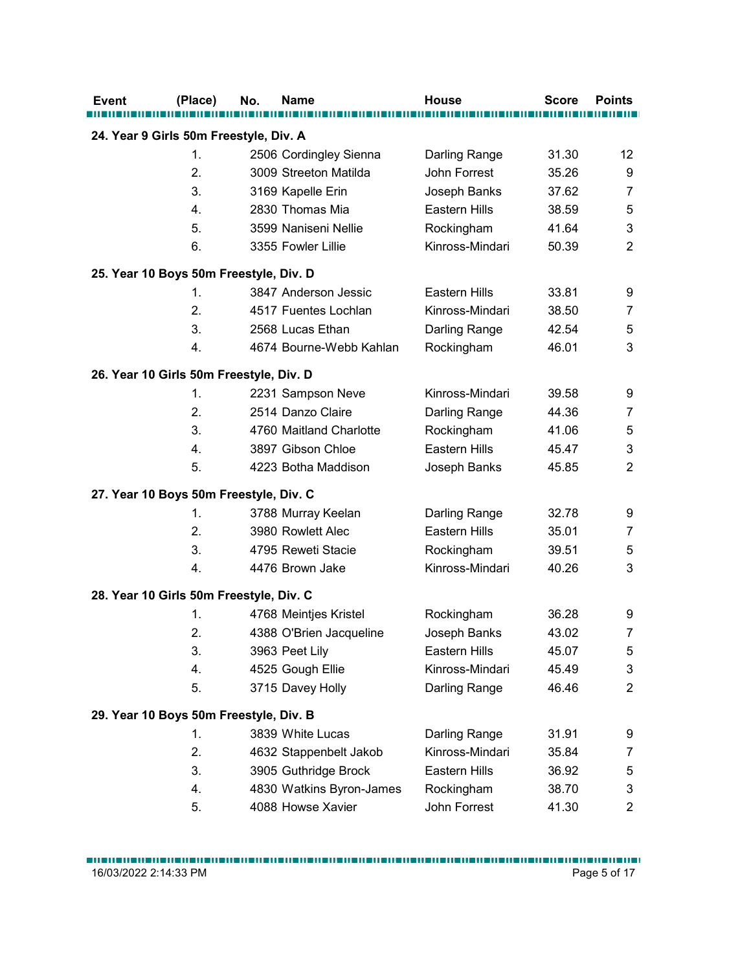| Event                                   | (Place) | No. | <b>Name</b>              | <b>House</b>    | <b>Score</b> | <b>Points</b>    |
|-----------------------------------------|---------|-----|--------------------------|-----------------|--------------|------------------|
| 24. Year 9 Girls 50m Freestyle, Div. A  |         |     |                          |                 |              |                  |
|                                         | 1.      |     | 2506 Cordingley Sienna   | Darling Range   | 31.30        | 12               |
|                                         | 2.      |     | 3009 Streeton Matilda    | John Forrest    | 35.26        | 9                |
|                                         | 3.      |     | 3169 Kapelle Erin        | Joseph Banks    | 37.62        | $\overline{7}$   |
|                                         | 4.      |     | 2830 Thomas Mia          | Eastern Hills   | 38.59        | 5                |
|                                         | 5.      |     | 3599 Naniseni Nellie     | Rockingham      | 41.64        | 3                |
|                                         | 6.      |     | 3355 Fowler Lillie       | Kinross-Mindari | 50.39        | $\sqrt{2}$       |
|                                         |         |     |                          |                 |              |                  |
| 25. Year 10 Boys 50m Freestyle, Div. D  |         |     |                          |                 |              |                  |
|                                         | 1.      |     | 3847 Anderson Jessic     | Eastern Hills   | 33.81        | 9                |
|                                         | 2.      |     | 4517 Fuentes Lochlan     | Kinross-Mindari | 38.50        | $\overline{7}$   |
|                                         | 3.      |     | 2568 Lucas Ethan         | Darling Range   | 42.54        | 5                |
|                                         | 4.      |     | 4674 Bourne-Webb Kahlan  | Rockingham      | 46.01        | 3                |
| 26. Year 10 Girls 50m Freestyle, Div. D |         |     |                          |                 |              |                  |
|                                         | 1.      |     | 2231 Sampson Neve        | Kinross-Mindari | 39.58        | 9                |
|                                         | 2.      |     | 2514 Danzo Claire        | Darling Range   | 44.36        | 7                |
|                                         | 3.      |     | 4760 Maitland Charlotte  | Rockingham      | 41.06        | $\sqrt{5}$       |
|                                         | 4.      |     | 3897 Gibson Chloe        | Eastern Hills   | 45.47        | $\sqrt{3}$       |
|                                         | 5.      |     | 4223 Botha Maddison      | Joseph Banks    | 45.85        | $\overline{c}$   |
| 27. Year 10 Boys 50m Freestyle, Div. C  |         |     |                          |                 |              |                  |
|                                         | 1.      |     | 3788 Murray Keelan       | Darling Range   | 32.78        | 9                |
|                                         | 2.      |     | 3980 Rowlett Alec        | Eastern Hills   | 35.01        | $\overline{7}$   |
|                                         | 3.      |     | 4795 Reweti Stacie       | Rockingham      | 39.51        | 5                |
|                                         | 4.      |     | 4476 Brown Jake          | Kinross-Mindari | 40.26        | 3                |
|                                         |         |     |                          |                 |              |                  |
| 28. Year 10 Girls 50m Freestyle, Div. C |         |     |                          |                 |              |                  |
|                                         | 1.      |     | 4768 Meintjes Kristel    | Rockingham      | 36.28        | 9                |
|                                         | 2.      |     | 4388 O'Brien Jacqueline  | Joseph Banks    | 43.02        | $\overline{7}$   |
|                                         | 3.      |     | 3963 Peet Lily           | Eastern Hills   | 45.07        | $\sqrt{5}$       |
|                                         | 4.      |     | 4525 Gough Ellie         | Kinross-Mindari | 45.49        | $\sqrt{3}$       |
|                                         | 5.      |     | 3715 Davey Holly         | Darling Range   | 46.46        | $\overline{2}$   |
| 29. Year 10 Boys 50m Freestyle, Div. B  |         |     |                          |                 |              |                  |
|                                         | 1.      |     | 3839 White Lucas         | Darling Range   | 31.91        | 9                |
|                                         | 2.      |     | 4632 Stappenbelt Jakob   | Kinross-Mindari | 35.84        | $\boldsymbol{7}$ |
|                                         | 3.      |     | 3905 Guthridge Brock     | Eastern Hills   | 36.92        | 5                |
|                                         | 4.      |     | 4830 Watkins Byron-James | Rockingham      | 38.70        | 3                |
|                                         | 5.      |     | 4088 Howse Xavier        | John Forrest    | 41.30        | $\overline{2}$   |
|                                         |         |     |                          |                 |              |                  |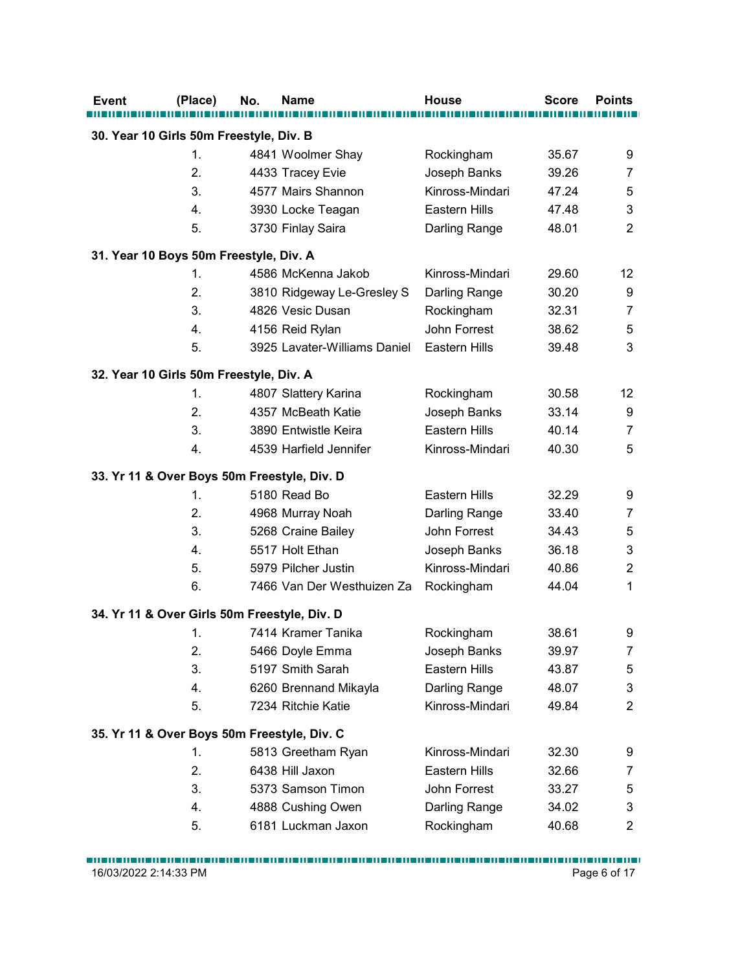| Event                                                                | (Place)                    | No. | <b>Name</b>                                                                                           | <b>House</b>                                                                    | <b>Score</b>                              | <b>Points</b>                                                             |
|----------------------------------------------------------------------|----------------------------|-----|-------------------------------------------------------------------------------------------------------|---------------------------------------------------------------------------------|-------------------------------------------|---------------------------------------------------------------------------|
| 30. Year 10 Girls 50m Freestyle, Div. B                              |                            |     |                                                                                                       |                                                                                 |                                           |                                                                           |
|                                                                      | $\mathbf{1}$ .             |     | 4841 Woolmer Shay                                                                                     | Rockingham                                                                      | 35.67                                     | 9                                                                         |
|                                                                      | 2.                         |     | 4433 Tracey Evie                                                                                      | Joseph Banks                                                                    | 39.26                                     | $\overline{7}$                                                            |
|                                                                      | 3.                         |     | 4577 Mairs Shannon                                                                                    | Kinross-Mindari                                                                 | 47.24                                     | 5                                                                         |
|                                                                      | 4.                         |     | 3930 Locke Teagan                                                                                     | Eastern Hills                                                                   | 47.48                                     | 3                                                                         |
|                                                                      | 5.                         |     | 3730 Finlay Saira                                                                                     | Darling Range                                                                   | 48.01                                     | $\overline{2}$                                                            |
|                                                                      |                            |     |                                                                                                       |                                                                                 |                                           |                                                                           |
| 31. Year 10 Boys 50m Freestyle, Div. A                               | 1.                         |     | 4586 McKenna Jakob                                                                                    | Kinross-Mindari                                                                 | 29.60                                     | 12                                                                        |
|                                                                      | 2.                         |     |                                                                                                       |                                                                                 | 30.20                                     | 9                                                                         |
|                                                                      | 3.                         |     | 3810 Ridgeway Le-Gresley S<br>4826 Vesic Dusan                                                        | Darling Range<br>Rockingham                                                     | 32.31                                     | 7                                                                         |
|                                                                      | 4.                         |     | 4156 Reid Rylan                                                                                       | John Forrest                                                                    | 38.62                                     | 5                                                                         |
|                                                                      | 5.                         |     | 3925 Lavater-Williams Daniel                                                                          | Eastern Hills                                                                   | 39.48                                     | 3                                                                         |
|                                                                      |                            |     |                                                                                                       |                                                                                 |                                           |                                                                           |
| 32. Year 10 Girls 50m Freestyle, Div. A                              |                            |     |                                                                                                       |                                                                                 |                                           |                                                                           |
|                                                                      | 1.                         |     | 4807 Slattery Karina                                                                                  | Rockingham                                                                      | 30.58                                     | 12                                                                        |
|                                                                      | 2.                         |     | 4357 McBeath Katie                                                                                    | Joseph Banks                                                                    | 33.14                                     | 9                                                                         |
|                                                                      | 3.                         |     | 3890 Entwistle Keira                                                                                  | Eastern Hills                                                                   | 40.14                                     | $\overline{7}$                                                            |
|                                                                      | 4.                         |     | 4539 Harfield Jennifer                                                                                | Kinross-Mindari                                                                 | 40.30                                     | $\sqrt{5}$                                                                |
| 33. Yr 11 & Over Boys 50m Freestyle, Div. D                          |                            |     |                                                                                                       |                                                                                 |                                           |                                                                           |
|                                                                      | 1.                         |     | 5180 Read Bo                                                                                          | Eastern Hills                                                                   | 32.29                                     | 9                                                                         |
|                                                                      | 2.                         |     | 4968 Murray Noah                                                                                      | Darling Range                                                                   | 33.40                                     | $\overline{7}$                                                            |
|                                                                      | 3.                         |     | 5268 Craine Bailey                                                                                    | John Forrest                                                                    | 34.43                                     | $\mathbf 5$                                                               |
|                                                                      | 4.                         |     | 5517 Holt Ethan                                                                                       | Joseph Banks                                                                    | 36.18                                     | $\ensuremath{\mathsf{3}}$                                                 |
|                                                                      | 5.                         |     | 5979 Pilcher Justin                                                                                   | Kinross-Mindari                                                                 | 40.86                                     | $\overline{2}$                                                            |
|                                                                      | 6.                         |     | 7466 Van Der Westhuizen Za                                                                            | Rockingham                                                                      | 44.04                                     | $\mathbf 1$                                                               |
| 34. Yr 11 & Over Girls 50m Freestyle, Div. D                         |                            |     |                                                                                                       |                                                                                 |                                           |                                                                           |
|                                                                      | 1.                         |     | 7414 Kramer Tanika                                                                                    | Rockingham                                                                      | 38.61                                     | 9                                                                         |
|                                                                      | 2.                         |     | 5466 Doyle Emma                                                                                       | Joseph Banks                                                                    | 39.97                                     | $\overline{7}$                                                            |
|                                                                      | 3.                         |     | 5197 Smith Sarah                                                                                      | Eastern Hills                                                                   | 43.87                                     | $\mathbf 5$                                                               |
|                                                                      | 4.                         |     | 6260 Brennand Mikayla                                                                                 | Darling Range                                                                   | 48.07                                     | $\ensuremath{\mathsf{3}}$                                                 |
|                                                                      | 5.                         |     | 7234 Ritchie Katie                                                                                    | Kinross-Mindari                                                                 | 49.84                                     | $\overline{2}$                                                            |
|                                                                      |                            |     |                                                                                                       |                                                                                 |                                           |                                                                           |
|                                                                      |                            |     |                                                                                                       |                                                                                 |                                           |                                                                           |
|                                                                      |                            |     |                                                                                                       |                                                                                 |                                           |                                                                           |
|                                                                      |                            |     |                                                                                                       |                                                                                 |                                           |                                                                           |
|                                                                      |                            |     |                                                                                                       |                                                                                 |                                           |                                                                           |
|                                                                      |                            |     |                                                                                                       |                                                                                 |                                           |                                                                           |
|                                                                      |                            |     |                                                                                                       |                                                                                 |                                           |                                                                           |
| 35. Yr 11 & Over Boys 50m Freestyle, Div. C<br>16/03/2022 2:14:33 PM | 1.<br>2.<br>3.<br>4.<br>5. |     | 5813 Greetham Ryan<br>6438 Hill Jaxon<br>5373 Samson Timon<br>4888 Cushing Owen<br>6181 Luckman Jaxon | Kinross-Mindari<br>Eastern Hills<br>John Forrest<br>Darling Range<br>Rockingham | 32.30<br>32.66<br>33.27<br>34.02<br>40.68 | 9<br>$\overline{7}$<br>$\mathbf 5$<br>3<br>$\overline{2}$<br>Page 6 of 17 |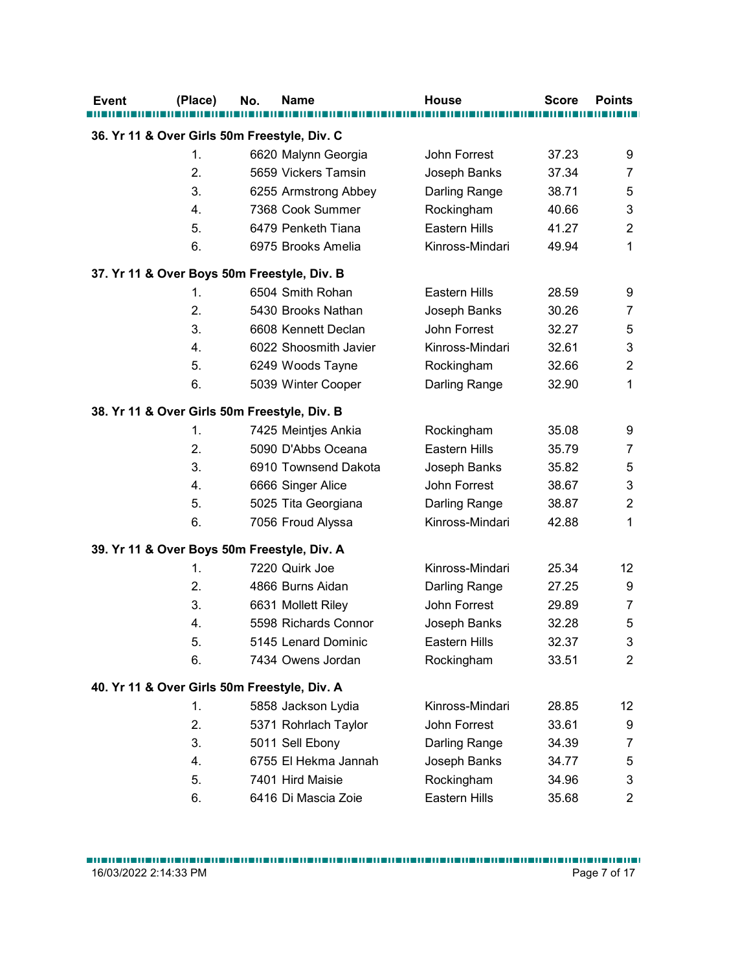| (Place)                                      | No.            | <b>Name</b>           | <b>House</b>         | <b>Score</b> | <b>Points</b>  |
|----------------------------------------------|----------------|-----------------------|----------------------|--------------|----------------|
| 36. Yr 11 & Over Girls 50m Freestyle, Div. C |                |                       |                      |              |                |
| 1.                                           |                | 6620 Malynn Georgia   | John Forrest         | 37.23        | 9              |
| 2.                                           |                | 5659 Vickers Tamsin   | Joseph Banks         | 37.34        | $\overline{7}$ |
| 3.                                           |                | 6255 Armstrong Abbey  | Darling Range        | 38.71        | 5              |
| 4.                                           |                | 7368 Cook Summer      | Rockingham           | 40.66        | $\sqrt{3}$     |
| 5.                                           |                | 6479 Penketh Tiana    | <b>Eastern Hills</b> | 41.27        | $\overline{2}$ |
| 6.                                           |                | 6975 Brooks Amelia    | Kinross-Mindari      | 49.94        | $\mathbf{1}$   |
| 37. Yr 11 & Over Boys 50m Freestyle, Div. B  |                |                       |                      |              |                |
| 1.                                           |                | 6504 Smith Rohan      | Eastern Hills        | 28.59        | 9              |
| 2.                                           |                | 5430 Brooks Nathan    | Joseph Banks         | 30.26        | $\overline{7}$ |
| 3.                                           |                | 6608 Kennett Declan   | John Forrest         | 32.27        | 5              |
| 4.                                           |                | 6022 Shoosmith Javier | Kinross-Mindari      | 32.61        | 3              |
| 5.                                           |                | 6249 Woods Tayne      | Rockingham           | 32.66        | $\overline{2}$ |
| 6.                                           |                | 5039 Winter Cooper    | Darling Range        | 32.90        | $\mathbf{1}$   |
| 38. Yr 11 & Over Girls 50m Freestyle, Div. B |                |                       |                      |              |                |
| 1.                                           |                | 7425 Meintjes Ankia   | Rockingham           | 35.08        | 9              |
| 2.                                           |                | 5090 D'Abbs Oceana    | Eastern Hills        | 35.79        | $\overline{7}$ |
| 3.                                           |                | 6910 Townsend Dakota  | Joseph Banks         | 35.82        | $\sqrt{5}$     |
| 4.                                           |                | 6666 Singer Alice     | John Forrest         | 38.67        | $\mathsf 3$    |
| 5.                                           |                | 5025 Tita Georgiana   | Darling Range        | 38.87        | $\overline{2}$ |
| 6.                                           |                | 7056 Froud Alyssa     | Kinross-Mindari      | 42.88        | $\mathbf{1}$   |
| 39. Yr 11 & Over Boys 50m Freestyle, Div. A  |                |                       |                      |              |                |
| 1.                                           | 7220 Quirk Joe |                       | Kinross-Mindari      | 25.34        | 12             |
| 2.                                           |                | 4866 Burns Aidan      | Darling Range        | 27.25        | 9              |
| 3.                                           |                | 6631 Mollett Riley    | John Forrest         | 29.89        | $\overline{7}$ |
| 4.                                           |                | 5598 Richards Connor  | Joseph Banks         | 32.28        | $\sqrt{5}$     |
| 5.                                           |                | 5145 Lenard Dominic   | Eastern Hills        | 32.37        | $\mathsf 3$    |
| 6.                                           |                | 7434 Owens Jordan     | Rockingham           | 33.51        | $\overline{2}$ |
|                                              |                |                       |                      |              |                |
| 40. Yr 11 & Over Girls 50m Freestyle, Div. A |                |                       |                      |              |                |
| 1.                                           |                | 5858 Jackson Lydia    | Kinross-Mindari      | 28.85        | 12             |
| 2.                                           |                | 5371 Rohrlach Taylor  | John Forrest         | 33.61        | 9              |
| 3.                                           |                | 5011 Sell Ebony       | Darling Range        | 34.39        | $\overline{7}$ |
| 4.                                           |                | 6755 El Hekma Jannah  | Joseph Banks         | 34.77        | $\sqrt{5}$     |
| 5.                                           |                | 7401 Hird Maisie      | Rockingham           | 34.96        | $\mathfrak{Z}$ |
| 6.                                           |                | 6416 Di Mascia Zoie   | Eastern Hills        | 35.68        | $\overline{2}$ |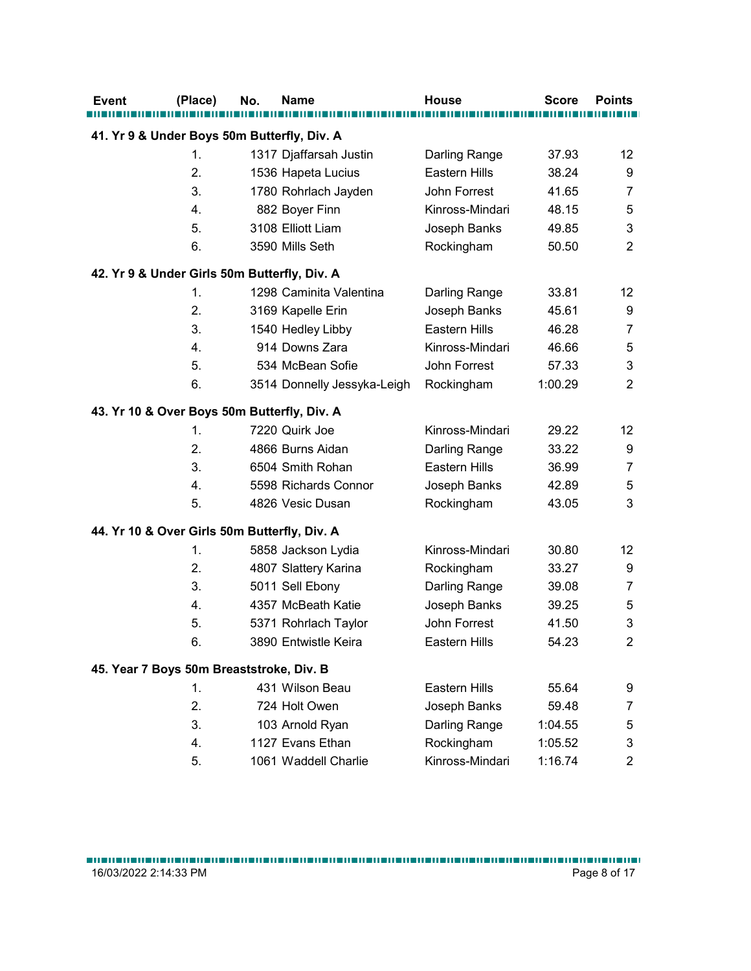| <b>Event</b>                                 | (Place)  | No. | <b>Name</b>                              | <b>House</b>                  | <b>Score</b>       | <b>Points</b>                            |
|----------------------------------------------|----------|-----|------------------------------------------|-------------------------------|--------------------|------------------------------------------|
| 41. Yr 9 & Under Boys 50m Butterfly, Div. A  |          |     |                                          |                               |                    |                                          |
|                                              | 1.       |     | 1317 Djaffarsah Justin                   | Darling Range                 | 37.93              | 12                                       |
|                                              | 2.       |     | 1536 Hapeta Lucius                       | Eastern Hills                 | 38.24              | 9                                        |
|                                              | 3.       |     | 1780 Rohrlach Jayden                     | John Forrest                  | 41.65              | $\overline{7}$                           |
|                                              | 4.       |     | 882 Boyer Finn                           | Kinross-Mindari               | 48.15              | 5                                        |
|                                              | 5.       |     | 3108 Elliott Liam                        | Joseph Banks                  | 49.85              | $\sqrt{3}$                               |
|                                              | 6.       |     | 3590 Mills Seth                          | Rockingham                    | 50.50              | $\overline{2}$                           |
| 42. Yr 9 & Under Girls 50m Butterfly, Div. A |          |     |                                          |                               |                    |                                          |
|                                              | 1.       |     | 1298 Caminita Valentina                  | Darling Range                 | 33.81              | 12                                       |
|                                              | 2.       |     | 3169 Kapelle Erin                        | Joseph Banks                  | 45.61              | 9                                        |
|                                              | 3.       |     | 1540 Hedley Libby                        | Eastern Hills                 | 46.28              | 7                                        |
|                                              | 4.       |     | 914 Downs Zara                           | Kinross-Mindari               | 46.66              | $\sqrt{5}$                               |
|                                              | 5.       |     | 534 McBean Sofie                         | John Forrest                  | 57.33              | 3                                        |
|                                              | 6.       |     | 3514 Donnelly Jessyka-Leigh Rockingham   |                               | 1:00.29            | $\overline{2}$                           |
| 43. Yr 10 & Over Boys 50m Butterfly, Div. A  |          |     |                                          |                               |                    |                                          |
|                                              | 1.       |     | 7220 Quirk Joe                           | Kinross-Mindari               | 29.22              | 12                                       |
|                                              | 2.       |     | 4866 Burns Aidan                         | Darling Range                 | 33.22              | 9                                        |
|                                              | 3.       |     | 6504 Smith Rohan                         | Eastern Hills                 | 36.99              | $\overline{7}$                           |
|                                              | 4.       |     | 5598 Richards Connor                     | Joseph Banks                  | 42.89              | $\sqrt{5}$                               |
|                                              | 5.       |     | 4826 Vesic Dusan                         | Rockingham                    | 43.05              | $\mathsf 3$                              |
|                                              |          |     |                                          |                               |                    |                                          |
| 44. Yr 10 & Over Girls 50m Butterfly, Div. A |          |     |                                          |                               |                    |                                          |
|                                              | 1.<br>2. |     | 5858 Jackson Lydia                       | Kinross-Mindari               | 30.80<br>33.27     | 12                                       |
|                                              | 3.       |     | 4807 Slattery Karina                     | Rockingham                    | 39.08              | 9                                        |
|                                              | 4.       |     | 5011 Sell Ebony<br>4357 McBeath Katie    | Darling Range<br>Joseph Banks | 39.25              | $\overline{7}$                           |
|                                              | 5.       |     | 5371 Rohrlach Taylor                     | John Forrest                  | 41.50              | $\mathbf 5$<br>$\ensuremath{\mathsf{3}}$ |
|                                              | 6.       |     | 3890 Entwistle Keira                     | Eastern Hills                 | 54.23              | $\mathbf{2}$                             |
|                                              |          |     |                                          |                               |                    |                                          |
| 45. Year 7 Boys 50m Breaststroke, Div. B     |          |     |                                          |                               |                    |                                          |
|                                              | 1.       |     | 431 Wilson Beau                          | Eastern Hills                 | 55.64              | $\boldsymbol{9}$                         |
|                                              | 2.       |     | 724 Holt Owen                            | Joseph Banks                  | 59.48              | $\overline{7}$                           |
|                                              | 3.       |     | 103 Arnold Ryan                          | Darling Range                 | 1:04.55            | $\sqrt{5}$                               |
|                                              |          |     |                                          |                               |                    |                                          |
|                                              | 4.<br>5. |     | 1127 Evans Ethan<br>1061 Waddell Charlie | Rockingham<br>Kinross-Mindari | 1:05.52<br>1:16.74 | $\mathsf 3$<br>$\overline{2}$            |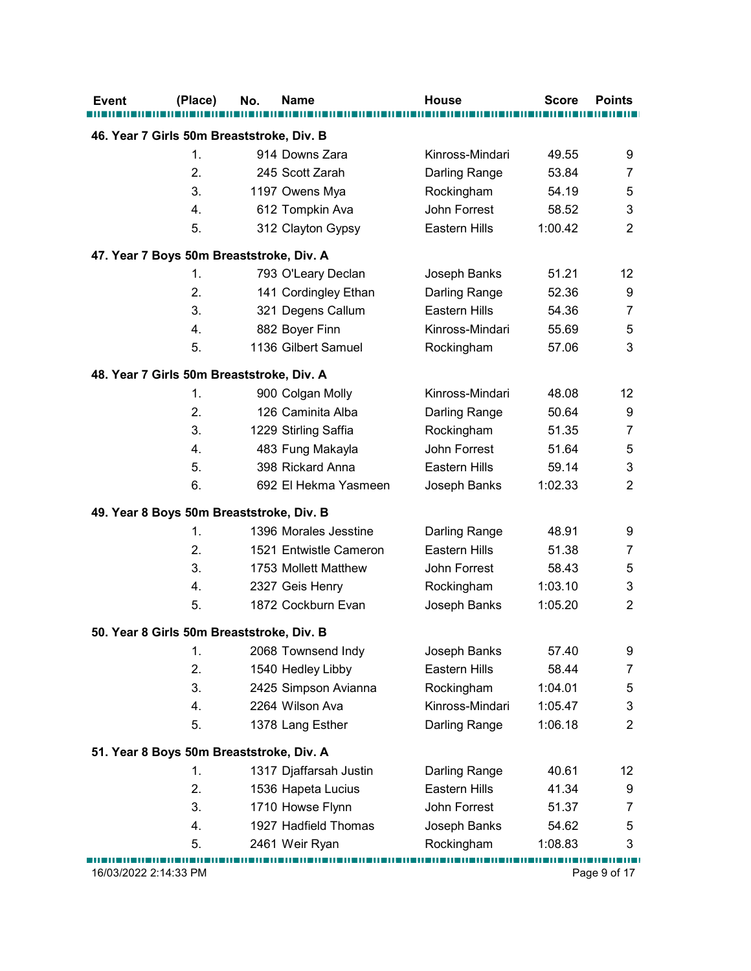| Event | (Place)               | <b>Name</b><br>No.                        | <b>House</b>    | <b>Score</b> | <b>Points</b>  |
|-------|-----------------------|-------------------------------------------|-----------------|--------------|----------------|
|       |                       |                                           |                 |              |                |
|       |                       | 46. Year 7 Girls 50m Breaststroke, Div. B |                 |              |                |
|       | 1.                    | 914 Downs Zara                            | Kinross-Mindari | 49.55        | 9              |
|       | 2.                    | 245 Scott Zarah                           | Darling Range   | 53.84        | $\overline{7}$ |
|       | 3.                    | 1197 Owens Mya                            | Rockingham      | 54.19        | 5              |
|       | 4.                    | 612 Tompkin Ava                           | John Forrest    | 58.52        | 3              |
|       | 5.                    | 312 Clayton Gypsy                         | Eastern Hills   | 1:00.42      | $\overline{2}$ |
|       |                       | 47. Year 7 Boys 50m Breaststroke, Div. A  |                 |              |                |
|       | 1.                    | 793 O'Leary Declan                        | Joseph Banks    | 51.21        | 12             |
|       | 2.                    | 141 Cordingley Ethan                      | Darling Range   | 52.36        | 9              |
|       | 3.                    | 321 Degens Callum                         | Eastern Hills   | 54.36        | $\overline{7}$ |
|       | 4.                    | 882 Boyer Finn                            | Kinross-Mindari | 55.69        | 5              |
|       | 5.                    | 1136 Gilbert Samuel                       | Rockingham      | 57.06        | 3              |
|       |                       |                                           |                 |              |                |
|       | 1.                    | 48. Year 7 Girls 50m Breaststroke, Div. A | Kinross-Mindari | 48.08        | 12             |
|       | 2.                    | 900 Colgan Molly<br>126 Caminita Alba     | Darling Range   | 50.64        | 9              |
|       | 3.                    | 1229 Stirling Saffia                      | Rockingham      | 51.35        | $\overline{7}$ |
|       | 4.                    | 483 Fung Makayla                          | John Forrest    | 51.64        | $\mathbf 5$    |
|       | 5.                    | 398 Rickard Anna                          | Eastern Hills   | 59.14        | 3              |
|       | 6.                    | 692 El Hekma Yasmeen                      | Joseph Banks    | 1:02.33      | $\overline{c}$ |
|       |                       |                                           |                 |              |                |
|       |                       | 49. Year 8 Boys 50m Breaststroke, Div. B  |                 |              |                |
|       | 1.                    | 1396 Morales Jesstine                     | Darling Range   | 48.91        | 9              |
|       | 2.                    | 1521 Entwistle Cameron                    | Eastern Hills   | 51.38        | 7              |
|       | 3.                    | 1753 Mollett Matthew                      | John Forrest    | 58.43        | 5              |
|       | 4.                    | 2327 Geis Henry                           | Rockingham      | 1:03.10      | 3              |
|       | 5.                    | 1872 Cockburn Evan                        | Joseph Banks    | 1:05.20      | $\overline{2}$ |
|       |                       | 50. Year 8 Girls 50m Breaststroke, Div. B |                 |              |                |
|       | 1.                    | 2068 Townsend Indy                        | Joseph Banks    | 57.40        | 9              |
|       | 2.                    | 1540 Hedley Libby                         | Eastern Hills   | 58.44        | $\overline{7}$ |
|       | 3.                    | 2425 Simpson Avianna                      | Rockingham      | 1:04.01      | 5              |
|       | 4.                    | 2264 Wilson Ava                           | Kinross-Mindari | 1:05.47      | 3              |
|       | 5.                    | 1378 Lang Esther                          | Darling Range   | 1:06.18      | $\overline{c}$ |
|       |                       |                                           |                 |              |                |
|       |                       | 51. Year 8 Boys 50m Breaststroke, Div. A  |                 |              |                |
|       | 1.                    | 1317 Djaffarsah Justin                    | Darling Range   | 40.61        | 12             |
|       | 2.                    | 1536 Hapeta Lucius                        | Eastern Hills   | 41.34        | 9              |
|       | 3.                    | 1710 Howse Flynn                          | John Forrest    | 51.37        | 7              |
|       | 4.                    | 1927 Hadfield Thomas                      | Joseph Banks    | 54.62        | $\mathbf 5$    |
|       | 5.                    | 2461 Weir Ryan                            | Rockingham      | 1:08.83      | 3              |
|       | 16/03/2022 2:14:33 PM |                                           |                 |              | Page 9 of 17   |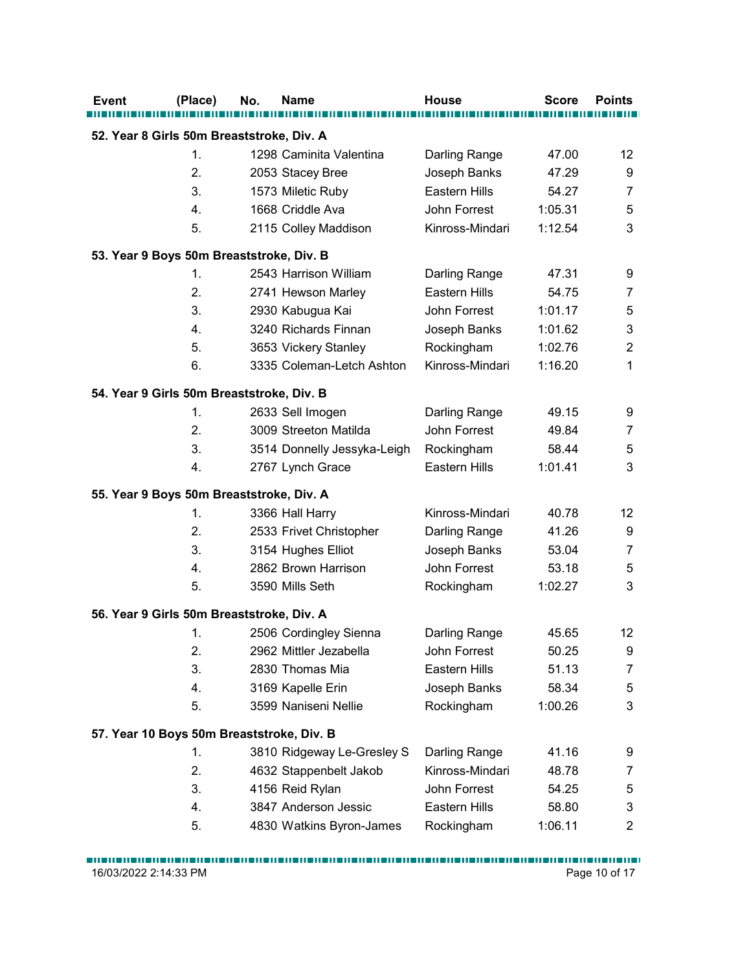| <b>Points</b><br>12<br>9<br>7<br>5<br>3<br>9<br>7<br>5<br>3<br>2<br>1 |
|-----------------------------------------------------------------------|
|                                                                       |
|                                                                       |
|                                                                       |
|                                                                       |
|                                                                       |
|                                                                       |
|                                                                       |
|                                                                       |
|                                                                       |
|                                                                       |
|                                                                       |
|                                                                       |
|                                                                       |
|                                                                       |
|                                                                       |
|                                                                       |
| 9                                                                     |
| $\overline{7}$                                                        |
| 5                                                                     |
| 3                                                                     |
|                                                                       |
| 12                                                                    |
| 9                                                                     |
| 7                                                                     |
| 5                                                                     |
| 3                                                                     |
|                                                                       |
| 12                                                                    |
| 9                                                                     |
| 7                                                                     |
| 5                                                                     |
| 3                                                                     |
|                                                                       |
|                                                                       |
| 9                                                                     |
| 7                                                                     |
| 5                                                                     |
| 3                                                                     |
| $\overline{c}$                                                        |
| Page 10 of 17                                                         |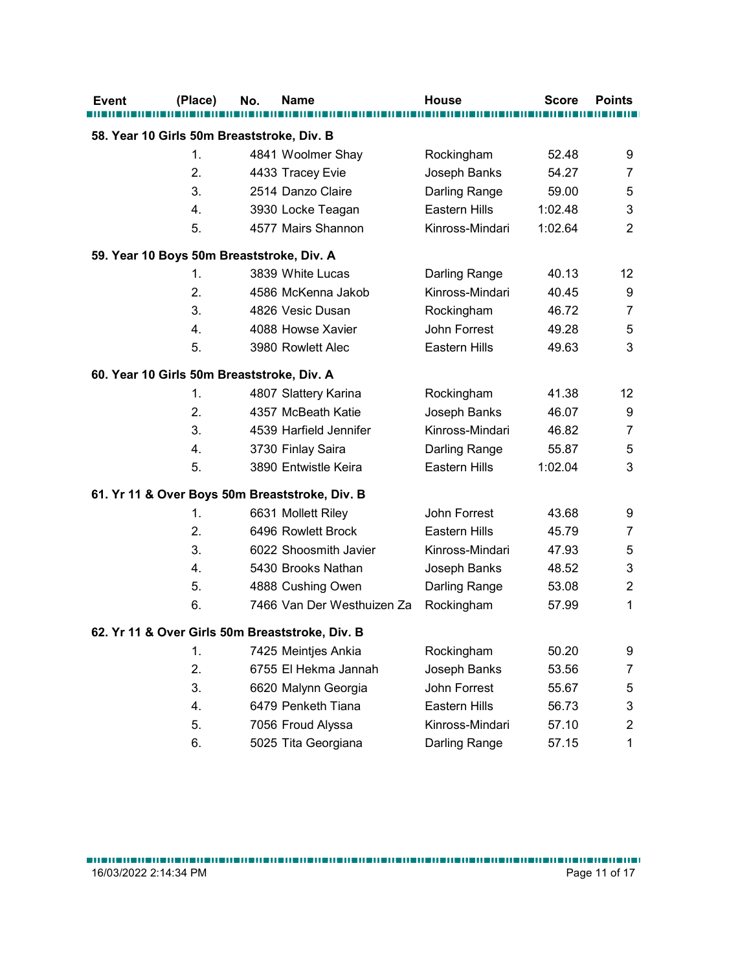|          | No.<br><b>Name</b>                              | House                       | <b>Score</b>   | <b>Points</b>       |
|----------|-------------------------------------------------|-----------------------------|----------------|---------------------|
|          | 58. Year 10 Girls 50m Breaststroke, Div. B      |                             |                |                     |
| 1.       | 4841 Woolmer Shay                               | Rockingham                  | 52.48          | 9                   |
| 2.       | 4433 Tracey Evie                                | Joseph Banks                | 54.27          | $\overline{7}$      |
| 3.       | 2514 Danzo Claire                               | Darling Range               | 59.00          | 5                   |
| 4.       | 3930 Locke Teagan                               | Eastern Hills               | 1:02.48        | 3                   |
| 5.       | 4577 Mairs Shannon                              | Kinross-Mindari             | 1:02.64        | $\overline{c}$      |
|          | 59. Year 10 Boys 50m Breaststroke, Div. A       |                             |                |                     |
| 1.       | 3839 White Lucas                                | Darling Range               | 40.13          | 12                  |
| 2.       | 4586 McKenna Jakob                              | Kinross-Mindari             | 40.45          | 9                   |
| 3.       | 4826 Vesic Dusan                                | Rockingham                  | 46.72          | $\overline{7}$      |
| 4.       | 4088 Howse Xavier                               | John Forrest                | 49.28          | 5                   |
| 5.       | 3980 Rowlett Alec                               | Eastern Hills               | 49.63          | 3                   |
|          | 60. Year 10 Girls 50m Breaststroke, Div. A      |                             |                |                     |
| 1.       | 4807 Slattery Karina                            | Rockingham                  | 41.38          | 12                  |
| 2.       | 4357 McBeath Katie                              | Joseph Banks                | 46.07          | 9                   |
| 3.       | 4539 Harfield Jennifer                          | Kinross-Mindari             | 46.82          | $\boldsymbol{7}$    |
| 4.       | 3730 Finlay Saira                               | Darling Range               | 55.87          | 5                   |
| 5.       | 3890 Entwistle Keira                            | Eastern Hills               | 1:02.04        | 3                   |
|          |                                                 |                             |                |                     |
|          | 61. Yr 11 & Over Boys 50m Breaststroke, Div. B  |                             |                |                     |
| 1.       | 6631 Mollett Riley                              | John Forrest                | 43.68          | 9                   |
| 2.       | 6496 Rowlett Brock                              | Eastern Hills               | 45.79          | $\overline{7}$      |
| 3.<br>4. | 6022 Shoosmith Javier<br>5430 Brooks Nathan     | Kinross-Mindari             | 47.93<br>48.52 | 5                   |
| 5.       |                                                 | Joseph Banks                | 53.08          | 3                   |
| 6.       | 4888 Cushing Owen<br>7466 Van Der Westhuizen Za | Darling Range<br>Rockingham | 57.99          | $\overline{2}$<br>1 |
|          |                                                 |                             |                |                     |
|          | 62. Yr 11 & Over Girls 50m Breaststroke, Div. B |                             |                |                     |
| 1.       | 7425 Meintjes Ankia                             | Rockingham                  | 50.20          | 9                   |
| 2.       | 6755 El Hekma Jannah                            | Joseph Banks                | 53.56          | 7                   |
| 3.       | 6620 Malynn Georgia                             | John Forrest                | 55.67          | 5                   |
| 4.       | 6479 Penketh Tiana                              | Eastern Hills               | 56.73          | 3                   |
| 5.       | 7056 Froud Alyssa                               | Kinross-Mindari             | 57.10          | $\overline{c}$      |
| 6.       | 5025 Tita Georgiana                             | Darling Range               | 57.15          | $\mathbf{1}$        |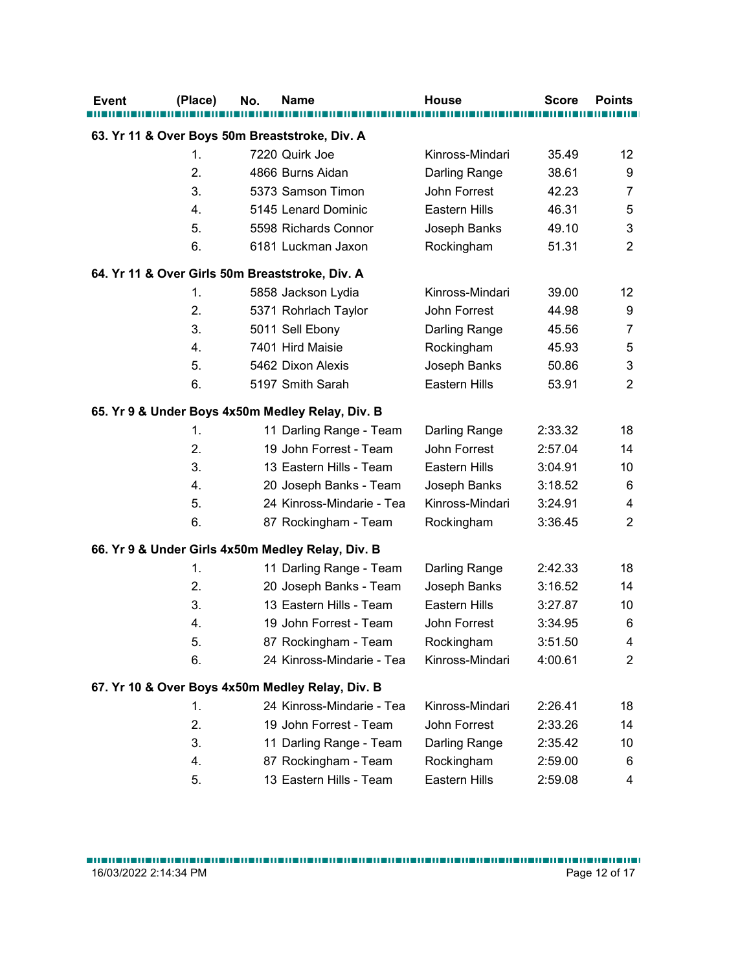| (Place) | No. | <b>Name</b>                                       | <b>House</b>    | <b>Score</b> | <b>Points</b>  |
|---------|-----|---------------------------------------------------|-----------------|--------------|----------------|
|         |     | 63. Yr 11 & Over Boys 50m Breaststroke, Div. A    |                 |              |                |
| 1.      |     | 7220 Quirk Joe                                    | Kinross-Mindari | 35.49        | 12             |
| 2.      |     | 4866 Burns Aidan                                  | Darling Range   | 38.61        | 9              |
| 3.      |     | 5373 Samson Timon                                 | John Forrest    | 42.23        | 7              |
| 4.      |     | 5145 Lenard Dominic                               | Eastern Hills   | 46.31        | 5              |
| 5.      |     | 5598 Richards Connor                              | Joseph Banks    | 49.10        | 3              |
| 6.      |     | 6181 Luckman Jaxon                                | Rockingham      | 51.31        | $\overline{2}$ |
|         |     | 64. Yr 11 & Over Girls 50m Breaststroke, Div. A   |                 |              |                |
| 1.      |     | 5858 Jackson Lydia                                | Kinross-Mindari | 39.00        | 12             |
| 2.      |     | 5371 Rohrlach Taylor                              | John Forrest    | 44.98        | 9              |
| 3.      |     | 5011 Sell Ebony                                   | Darling Range   | 45.56        | 7              |
| 4.      |     | 7401 Hird Maisie                                  | Rockingham      | 45.93        | 5              |
| 5.      |     | 5462 Dixon Alexis                                 | Joseph Banks    | 50.86        | 3              |
| 6.      |     | 5197 Smith Sarah                                  | Eastern Hills   | 53.91        | $\overline{2}$ |
|         |     | 65. Yr 9 & Under Boys 4x50m Medley Relay, Div. B  |                 |              |                |
| 1.      |     | 11 Darling Range - Team                           | Darling Range   | 2:33.32      | 18             |
| 2.      |     | 19 John Forrest - Team                            | John Forrest    | 2:57.04      | 14             |
| 3.      |     | 13 Eastern Hills - Team                           | Eastern Hills   | 3:04.91      | 10             |
| 4.      |     | 20 Joseph Banks - Team                            | Joseph Banks    | 3:18.52      | 6              |
| 5.      |     | 24 Kinross-Mindarie - Tea                         | Kinross-Mindari | 3:24.91      | 4              |
| 6.      |     | 87 Rockingham - Team                              | Rockingham      | 3:36.45      | $\overline{2}$ |
|         |     | 66. Yr 9 & Under Girls 4x50m Medley Relay, Div. B |                 |              |                |
| 1.      |     | 11 Darling Range - Team                           | Darling Range   | 2:42.33      | 18             |
| 2.      |     | 20 Joseph Banks - Team                            | Joseph Banks    | 3:16.52      | 14             |
| 3.      |     | 13 Eastern Hills - Team                           | Eastern Hills   | 3:27.87      | 10             |
| 4.      |     | 19 John Forrest - Team                            | John Forrest    | 3:34.95      | 6              |
| 5.      |     | 87 Rockingham - Team                              | Rockingham      | 3:51.50      | 4              |
| 6.      |     | 24 Kinross-Mindarie - Tea                         | Kinross-Mindari | 4:00.61      | 2              |
|         |     | 67. Yr 10 & Over Boys 4x50m Medley Relay, Div. B  |                 |              |                |
| 1.      |     | 24 Kinross-Mindarie - Tea                         | Kinross-Mindari | 2:26.41      | 18             |
| 2.      |     | 19 John Forrest - Team                            | John Forrest    | 2:33.26      | 14             |
| 3.      |     | 11 Darling Range - Team                           | Darling Range   | 2:35.42      | 10             |
| 4.      |     | 87 Rockingham - Team                              | Rockingham      | 2:59.00      | 6              |
| 5.      |     | 13 Eastern Hills - Team                           | Eastern Hills   | 2:59.08      | 4              |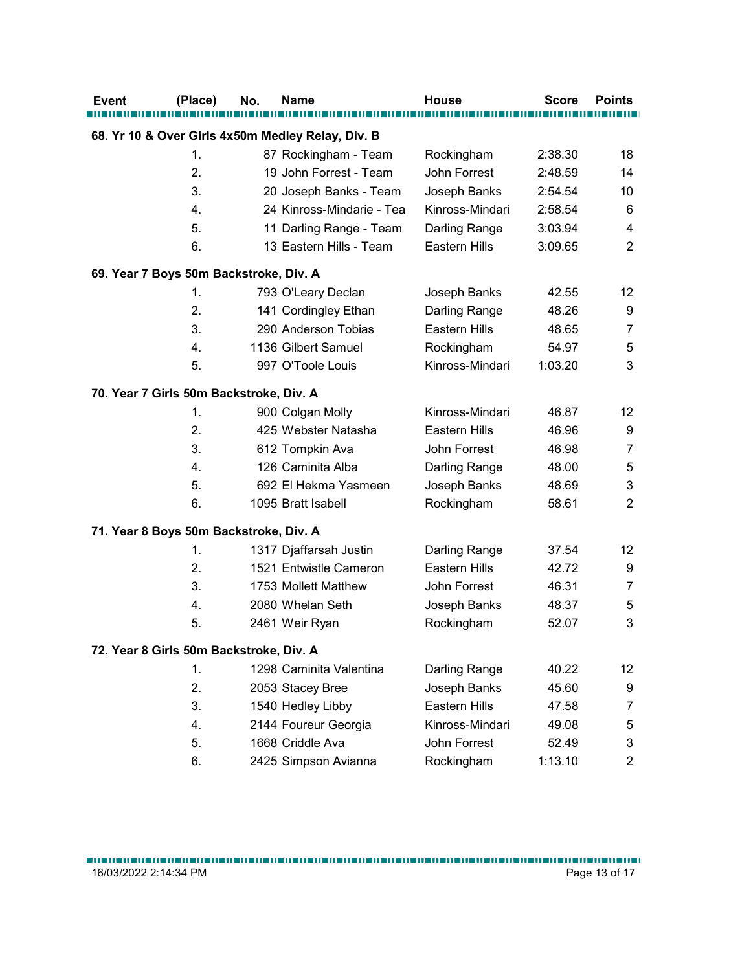|                                         | (Place) | No. | <b>Name</b>                                       | <b>House</b>    | <b>Score</b> | <b>Points</b>  |
|-----------------------------------------|---------|-----|---------------------------------------------------|-----------------|--------------|----------------|
|                                         |         |     | 68. Yr 10 & Over Girls 4x50m Medley Relay, Div. B |                 |              |                |
|                                         | 1.      |     | 87 Rockingham - Team                              | Rockingham      | 2:38.30      | 18             |
|                                         | 2.      |     | 19 John Forrest - Team                            | John Forrest    | 2:48.59      | 14             |
|                                         | 3.      |     | 20 Joseph Banks - Team                            | Joseph Banks    | 2:54.54      | 10             |
|                                         | 4.      |     | 24 Kinross-Mindarie - Tea                         | Kinross-Mindari | 2:58.54      | 6              |
|                                         | 5.      |     | 11 Darling Range - Team                           | Darling Range   | 3:03.94      | 4              |
|                                         | 6.      |     | 13 Eastern Hills - Team                           | Eastern Hills   | 3:09.65      | $\overline{2}$ |
| 69. Year 7 Boys 50m Backstroke, Div. A  |         |     |                                                   |                 |              |                |
|                                         | 1.      |     | 793 O'Leary Declan                                | Joseph Banks    | 42.55        | 12             |
|                                         | 2.      |     | 141 Cordingley Ethan                              | Darling Range   | 48.26        | 9              |
|                                         | 3.      |     | 290 Anderson Tobias                               | Eastern Hills   | 48.65        | 7              |
|                                         | 4.      |     | 1136 Gilbert Samuel                               | Rockingham      | 54.97        | 5              |
|                                         | 5.      |     | 997 O'Toole Louis                                 | Kinross-Mindari | 1:03.20      | 3              |
| 70. Year 7 Girls 50m Backstroke, Div. A |         |     |                                                   |                 |              |                |
|                                         | 1.      |     | 900 Colgan Molly                                  | Kinross-Mindari | 46.87        | 12             |
|                                         | 2.      |     | 425 Webster Natasha                               | Eastern Hills   | 46.96        | 9              |
|                                         | 3.      |     | 612 Tompkin Ava                                   | John Forrest    | 46.98        | $\overline{7}$ |
|                                         | 4.      |     | 126 Caminita Alba                                 | Darling Range   | 48.00        | 5              |
|                                         | 5.      |     | 692 El Hekma Yasmeen                              | Joseph Banks    | 48.69        | 3              |
|                                         | 6.      |     | 1095 Bratt Isabell                                | Rockingham      | 58.61        | $\overline{c}$ |
| 71. Year 8 Boys 50m Backstroke, Div. A  |         |     |                                                   |                 |              |                |
|                                         | 1.      |     | 1317 Djaffarsah Justin                            | Darling Range   | 37.54        | 12             |
|                                         | 2.      |     | 1521 Entwistle Cameron                            | Eastern Hills   | 42.72        | 9              |
|                                         | 3.      |     | 1753 Mollett Matthew                              | John Forrest    | 46.31        | 7              |
|                                         | 4.      |     | 2080 Whelan Seth                                  | Joseph Banks    | 48.37        | 5              |
|                                         | 5.      |     | 2461 Weir Ryan                                    | Rockingham      | 52.07        | 3              |
| 72. Year 8 Girls 50m Backstroke, Div. A |         |     |                                                   |                 |              |                |
|                                         | 1.      |     | 1298 Caminita Valentina                           | Darling Range   | 40.22        | 12             |
|                                         | 2.      |     | 2053 Stacey Bree                                  | Joseph Banks    | 45.60        | 9              |
|                                         | 3.      |     | 1540 Hedley Libby                                 | Eastern Hills   | 47.58        | $\overline{7}$ |
|                                         | 4.      |     | 2144 Foureur Georgia                              | Kinross-Mindari | 49.08        | 5              |
|                                         | 5.      |     | 1668 Criddle Ava                                  | John Forrest    | 52.49        | 3              |
|                                         |         |     |                                                   |                 |              | $\overline{2}$ |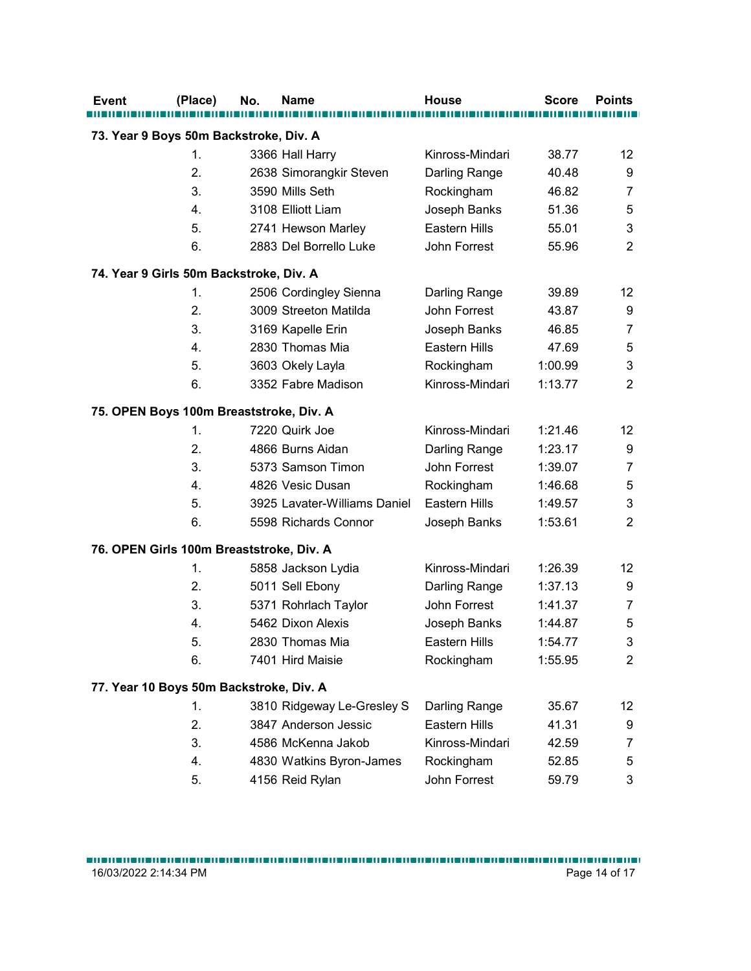| <b>Event</b>                             | (Place) | No. | <b>Name</b>                  | <b>House</b>    | <b>Score</b> | <b>Points</b>  |
|------------------------------------------|---------|-----|------------------------------|-----------------|--------------|----------------|
| 73. Year 9 Boys 50m Backstroke, Div. A   |         |     |                              |                 |              |                |
|                                          | 1.      |     | 3366 Hall Harry              | Kinross-Mindari | 38.77        | 12             |
|                                          | 2.      |     | 2638 Simorangkir Steven      | Darling Range   | 40.48        | 9              |
|                                          | 3.      |     | 3590 Mills Seth              | Rockingham      | 46.82        | 7              |
|                                          | 4.      |     | 3108 Elliott Liam            | Joseph Banks    | 51.36        | 5              |
|                                          | 5.      |     | 2741 Hewson Marley           | Eastern Hills   | 55.01        | 3              |
|                                          | 6.      |     | 2883 Del Borrello Luke       | John Forrest    | 55.96        | $\overline{2}$ |
| 74. Year 9 Girls 50m Backstroke, Div. A  |         |     |                              |                 |              |                |
|                                          | 1.      |     | 2506 Cordingley Sienna       | Darling Range   | 39.89        | 12             |
|                                          | 2.      |     | 3009 Streeton Matilda        | John Forrest    | 43.87        | 9              |
|                                          | 3.      |     | 3169 Kapelle Erin            | Joseph Banks    | 46.85        | 7              |
|                                          | 4.      |     | 2830 Thomas Mia              | Eastern Hills   | 47.69        | $\mathbf 5$    |
|                                          | 5.      |     | 3603 Okely Layla             | Rockingham      | 1:00.99      | 3              |
|                                          | 6.      |     | 3352 Fabre Madison           | Kinross-Mindari | 1:13.77      | $\overline{c}$ |
| 75. OPEN Boys 100m Breaststroke, Div. A  |         |     |                              |                 |              |                |
|                                          | 1.      |     | 7220 Quirk Joe               | Kinross-Mindari | 1:21.46      | 12             |
|                                          | 2.      |     | 4866 Burns Aidan             | Darling Range   | 1:23.17      | 9              |
|                                          | 3.      |     | 5373 Samson Timon            | John Forrest    | 1:39.07      | 7              |
|                                          | 4.      |     | 4826 Vesic Dusan             | Rockingham      | 1:46.68      | $\mathbf 5$    |
|                                          | 5.      |     | 3925 Lavater-Williams Daniel | Eastern Hills   | 1:49.57      | 3              |
|                                          | 6.      |     | 5598 Richards Connor         | Joseph Banks    | 1:53.61      | $\overline{2}$ |
| 76. OPEN Girls 100m Breaststroke, Div. A |         |     |                              |                 |              |                |
|                                          | 1.      |     | 5858 Jackson Lydia           | Kinross-Mindari | 1:26.39      | 12             |
|                                          | 2.      |     | 5011 Sell Ebony              | Darling Range   | 1:37.13      | 9              |
|                                          | 3.      |     | 5371 Rohrlach Taylor         | John Forrest    | 1:41.37      | $\overline{7}$ |
|                                          | 4.      |     | 5462 Dixon Alexis            | Joseph Banks    | 1:44.87      | $\mathbf 5$    |
|                                          | 5.      |     | 2830 Thomas Mia              | Eastern Hills   | 1:54.77      | 3              |
|                                          | 6.      |     | 7401 Hird Maisie             | Rockingham      | 1:55.95      | $\overline{2}$ |
| 77. Year 10 Boys 50m Backstroke, Div. A  |         |     |                              |                 |              |                |
|                                          | 1.      |     | 3810 Ridgeway Le-Gresley S   | Darling Range   | 35.67        | 12             |
|                                          | 2.      |     | 3847 Anderson Jessic         | Eastern Hills   | 41.31        | 9              |
|                                          | 3.      |     | 4586 McKenna Jakob           | Kinross-Mindari | 42.59        | $\overline{7}$ |
|                                          | 4.      |     | 4830 Watkins Byron-James     | Rockingham      | 52.85        | 5              |
|                                          | 5.      |     | 4156 Reid Rylan              | John Forrest    | 59.79        | 3              |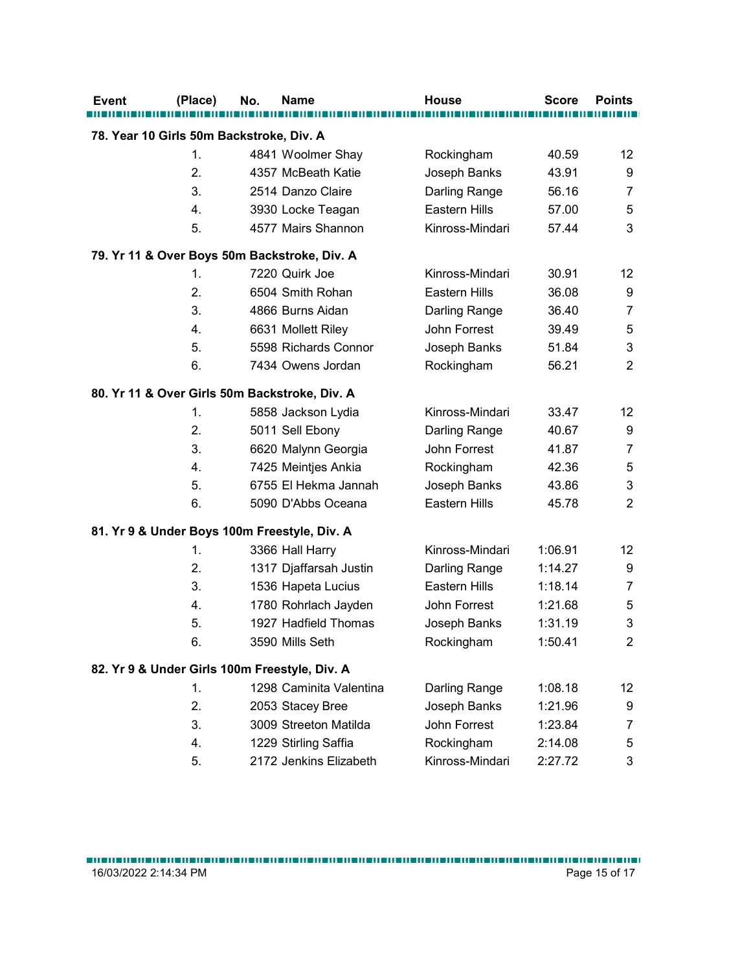| (Place) | No.<br><b>Name</b>                            | <b>House</b>    | <b>Score</b> | <b>Points</b>  |
|---------|-----------------------------------------------|-----------------|--------------|----------------|
|         | 78. Year 10 Girls 50m Backstroke, Div. A      |                 |              |                |
| 1.      | 4841 Woolmer Shay                             | Rockingham      | 40.59        | 12             |
| 2.      | 4357 McBeath Katie                            | Joseph Banks    | 43.91        | 9              |
| 3.      | 2514 Danzo Claire                             | Darling Range   | 56.16        | 7              |
| 4.      | 3930 Locke Teagan                             | Eastern Hills   | 57.00        | 5              |
| 5.      | 4577 Mairs Shannon                            | Kinross-Mindari | 57.44        | 3              |
|         | 79. Yr 11 & Over Boys 50m Backstroke, Div. A  |                 |              |                |
| 1.      | 7220 Quirk Joe                                | Kinross-Mindari | 30.91        | 12             |
| 2.      | 6504 Smith Rohan                              | Eastern Hills   | 36.08        | 9              |
| 3.      | 4866 Burns Aidan                              | Darling Range   | 36.40        | 7              |
| 4.      | 6631 Mollett Riley                            | John Forrest    | 39.49        | 5              |
| 5.      | 5598 Richards Connor                          | Joseph Banks    | 51.84        | 3              |
| 6.      | 7434 Owens Jordan                             | Rockingham      | 56.21        | $\overline{2}$ |
|         | 80. Yr 11 & Over Girls 50m Backstroke, Div. A |                 |              |                |
| 1.      | 5858 Jackson Lydia                            | Kinross-Mindari | 33.47        | 12             |
| 2.      | 5011 Sell Ebony                               | Darling Range   | 40.67        | 9              |
| 3.      | 6620 Malynn Georgia                           | John Forrest    | 41.87        | 7              |
| 4.      | 7425 Meintjes Ankia                           | Rockingham      | 42.36        | 5              |
| 5.      | 6755 El Hekma Jannah                          | Joseph Banks    | 43.86        | 3              |
| 6.      | 5090 D'Abbs Oceana                            | Eastern Hills   | 45.78        | $\overline{a}$ |
|         | 81. Yr 9 & Under Boys 100m Freestyle, Div. A  |                 |              |                |
| 1.      | 3366 Hall Harry                               | Kinross-Mindari | 1:06.91      | 12             |
| 2.      | 1317 Djaffarsah Justin                        | Darling Range   | 1:14.27      | 9              |
| 3.      | 1536 Hapeta Lucius                            | Eastern Hills   | 1:18.14      | 7              |
| 4.      | 1780 Rohrlach Jayden                          | John Forrest    | 1:21.68      | 5              |
| 5.      | 1927 Hadfield Thomas                          | Joseph Banks    | 1:31.19      | 3              |
| 6.      | 3590 Mills Seth                               | Rockingham      | 1:50.41      | $\overline{2}$ |
|         | 82. Yr 9 & Under Girls 100m Freestyle, Div. A |                 |              |                |
| 1.      | 1298 Caminita Valentina                       | Darling Range   | 1:08.18      | 12             |
| 2.      | 2053 Stacey Bree                              | Joseph Banks    | 1:21.96      | 9              |
| 3.      | 3009 Streeton Matilda                         | John Forrest    | 1:23.84      | 7              |
| 4.      | 1229 Stirling Saffia                          | Rockingham      | 2:14.08      | 5              |
| 5.      | 2172 Jenkins Elizabeth                        | Kinross-Mindari | 2:27.72      | 3              |
|         |                                               |                 |              |                |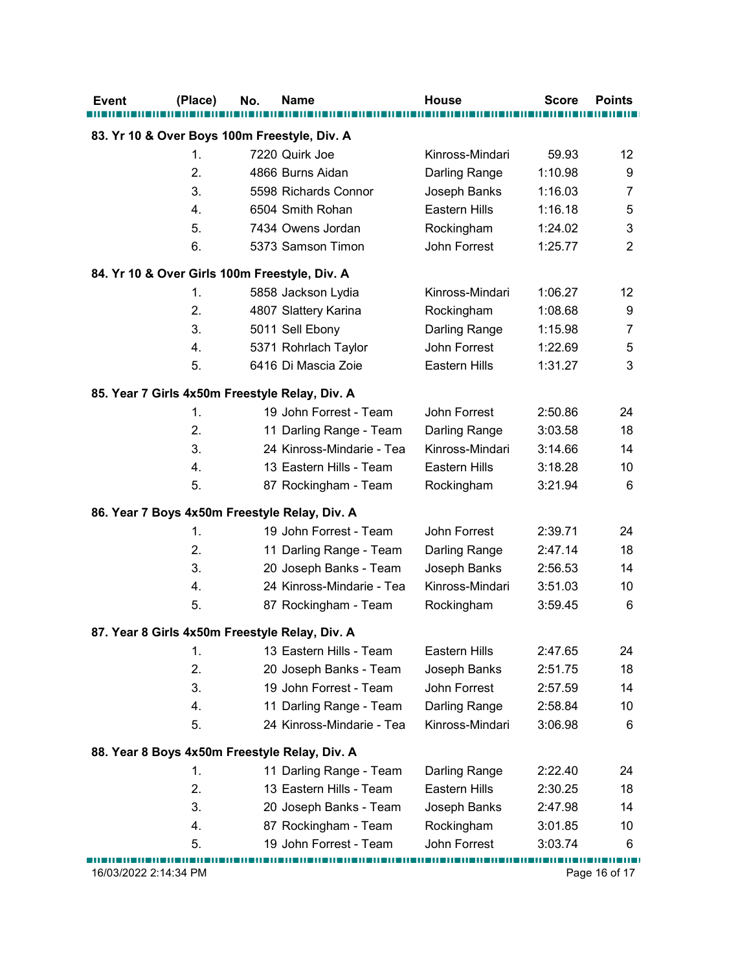| Event                                         | (Place)               | No. | <b>Name</b>                                    | <b>House</b>                         | <b>Score</b>       | <b>Points</b>  |
|-----------------------------------------------|-----------------------|-----|------------------------------------------------|--------------------------------------|--------------------|----------------|
|                                               |                       |     | 83. Yr 10 & Over Boys 100m Freestyle, Div. A   |                                      |                    |                |
|                                               | 1.                    |     | 7220 Quirk Joe                                 | Kinross-Mindari                      | 59.93              | 12             |
|                                               | 2.                    |     | 4866 Burns Aidan                               | Darling Range                        | 1:10.98            | 9              |
|                                               | 3.                    |     | 5598 Richards Connor                           | Joseph Banks                         | 1:16.03            | 7              |
|                                               | 4.                    |     | 6504 Smith Rohan                               | <b>Eastern Hills</b>                 | 1:16.18            | 5              |
|                                               | 5.                    |     | 7434 Owens Jordan                              | Rockingham                           | 1:24.02            | 3              |
|                                               | 6.                    |     | 5373 Samson Timon                              | John Forrest                         | 1:25.77            | $\overline{2}$ |
|                                               |                       |     |                                                |                                      |                    |                |
| 84. Yr 10 & Over Girls 100m Freestyle, Div. A |                       |     |                                                |                                      |                    |                |
|                                               | 1.<br>2.              |     | 5858 Jackson Lydia                             | Kinross-Mindari                      | 1:06.27            | 12             |
|                                               |                       |     | 4807 Slattery Karina                           | Rockingham                           | 1:08.68            | 9              |
|                                               | 3.                    |     | 5011 Sell Ebony                                | Darling Range                        | 1:15.98            | 7              |
|                                               | 4.<br>5.              |     | 5371 Rohrlach Taylor<br>6416 Di Mascia Zoie    | John Forrest<br><b>Eastern Hills</b> | 1:22.69<br>1:31.27 | 5<br>3         |
|                                               |                       |     |                                                |                                      |                    |                |
|                                               |                       |     | 85. Year 7 Girls 4x50m Freestyle Relay, Div. A |                                      |                    |                |
|                                               | 1.                    |     | 19 John Forrest - Team                         | John Forrest                         | 2:50.86            | 24             |
|                                               | 2.                    |     | 11 Darling Range - Team                        | Darling Range                        | 3:03.58            | 18             |
|                                               | 3.                    |     | 24 Kinross-Mindarie - Tea                      | Kinross-Mindari                      | 3:14.66            | 14             |
|                                               | 4.                    |     | 13 Eastern Hills - Team                        | Eastern Hills                        | 3:18.28            | 10             |
|                                               | 5.                    |     | 87 Rockingham - Team                           | Rockingham                           | 3:21.94            | 6              |
|                                               |                       |     | 86. Year 7 Boys 4x50m Freestyle Relay, Div. A  |                                      |                    |                |
|                                               | 1.                    |     | 19 John Forrest - Team                         | John Forrest                         | 2:39.71            | 24             |
|                                               | 2.                    |     | 11 Darling Range - Team                        | Darling Range                        | 2:47.14            | 18             |
|                                               | 3.                    |     | 20 Joseph Banks - Team                         | Joseph Banks                         | 2:56.53            | 14             |
|                                               | 4.                    |     | 24 Kinross-Mindarie - Tea                      | Kinross-Mindari                      | 3:51.03            | 10             |
|                                               | 5.                    |     | 87 Rockingham - Team                           | Rockingham                           | 3:59.45            | 6              |
|                                               |                       |     |                                                |                                      |                    |                |
|                                               |                       |     | 87. Year 8 Girls 4x50m Freestyle Relay, Div. A |                                      |                    |                |
|                                               | 1.                    |     | 13 Eastern Hills - Team                        | Eastern Hills                        | 2:47.65            | 24             |
|                                               | 2.                    |     | 20 Joseph Banks - Team                         | Joseph Banks                         | 2:51.75            | 18             |
|                                               | 3.                    |     | 19 John Forrest - Team                         | John Forrest                         | 2:57.59            | 14             |
|                                               | 4.                    |     | 11 Darling Range - Team                        | Darling Range                        | 2:58.84            | 10             |
|                                               | 5.                    |     | 24 Kinross-Mindarie - Tea                      | Kinross-Mindari                      | 3:06.98            | 6              |
|                                               |                       |     | 88. Year 8 Boys 4x50m Freestyle Relay, Div. A  |                                      |                    |                |
|                                               | 1.                    |     | 11 Darling Range - Team                        | Darling Range                        | 2:22.40            | 24             |
|                                               | 2.                    |     | 13 Eastern Hills - Team                        | Eastern Hills                        | 2:30.25            | 18             |
|                                               | 3.                    |     | 20 Joseph Banks - Team                         | Joseph Banks                         | 2:47.98            | 14             |
|                                               | 4.                    |     | 87 Rockingham - Team                           | Rockingham                           | 3:01.85            | 10             |
|                                               | 5.                    |     | 19 John Forrest - Team                         | John Forrest                         | 3:03.74            | 6              |
|                                               | 16/03/2022 2:14:34 PM |     |                                                |                                      |                    |                |